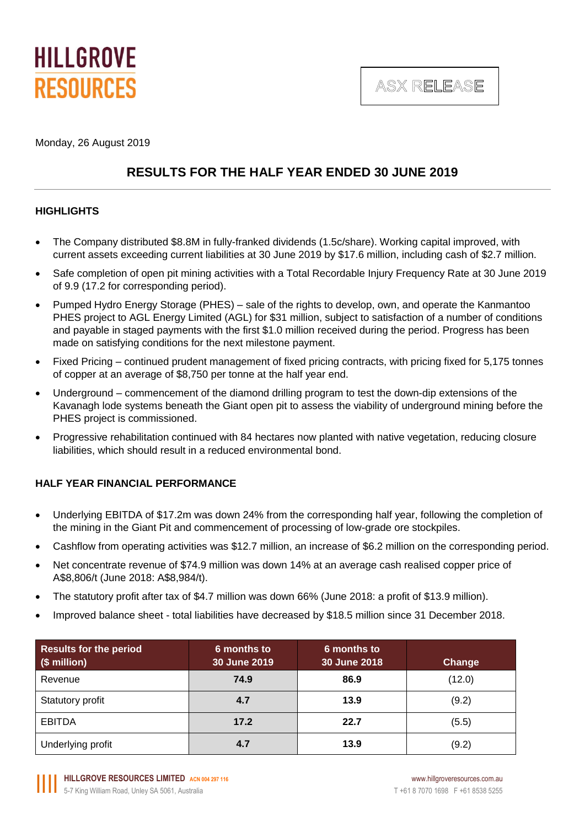

ASX RELEASE

Monday, 26 August 2019

### **RESULTS FOR THE HALF YEAR ENDED 30 JUNE 2019**

### **HIGHLIGHTS**

- The Company distributed \$8.8M in fully-franked dividends (1.5c/share). Working capital improved, with current assets exceeding current liabilities at 30 June 2019 by \$17.6 million, including cash of \$2.7 million.
- Safe completion of open pit mining activities with a Total Recordable Injury Frequency Rate at 30 June 2019 of 9.9 (17.2 for corresponding period).
- Pumped Hydro Energy Storage (PHES) sale of the rights to develop, own, and operate the Kanmantoo PHES project to AGL Energy Limited (AGL) for \$31 million, subject to satisfaction of a number of conditions and payable in staged payments with the first \$1.0 million received during the period. Progress has been made on satisfying conditions for the next milestone payment.
- Fixed Pricing continued prudent management of fixed pricing contracts, with pricing fixed for 5,175 tonnes of copper at an average of \$8,750 per tonne at the half year end.
- Underground commencement of the diamond drilling program to test the down-dip extensions of the Kavanagh lode systems beneath the Giant open pit to assess the viability of underground mining before the PHES project is commissioned.
- Progressive rehabilitation continued with 84 hectares now planted with native vegetation, reducing closure liabilities, which should result in a reduced environmental bond.

### **HALF YEAR FINANCIAL PERFORMANCE**

- Underlying EBITDA of \$17.2m was down 24% from the corresponding half year, following the completion of the mining in the Giant Pit and commencement of processing of low-grade ore stockpiles.
- Cashflow from operating activities was \$12.7 million, an increase of \$6.2 million on the corresponding period.
- Net concentrate revenue of \$74.9 million was down 14% at an average cash realised copper price of A\$8,806/t (June 2018: A\$8,984/t).
- The statutory profit after tax of \$4.7 million was down 66% (June 2018: a profit of \$13.9 million).
- Improved balance sheet total liabilities have decreased by \$18.5 million since 31 December 2018.

| <b>Results for the period</b><br>(\$ million) | 6 months to<br>30 June 2019 | 6 months to<br>30 June 2018 | Change |
|-----------------------------------------------|-----------------------------|-----------------------------|--------|
| Revenue                                       | 74.9                        | 86.9                        | (12.0) |
| Statutory profit                              | 4.7                         | 13.9                        | (9.2)  |
| <b>EBITDA</b>                                 | 17.2                        | 22.7                        | (5.5)  |
| Underlying profit                             | 4.7                         | 13.9                        | (9.2)  |

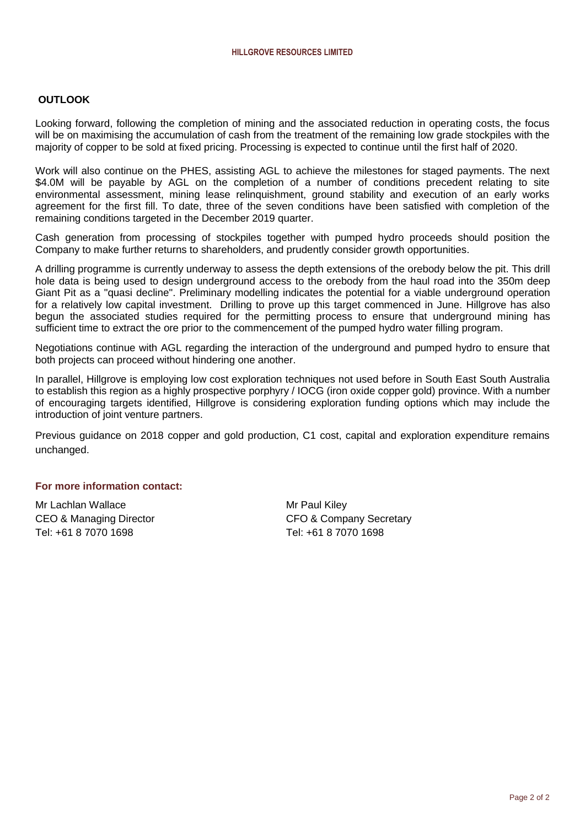### **OUTLOOK**

Looking forward, following the completion of mining and the associated reduction in operating costs, the focus will be on maximising the accumulation of cash from the treatment of the remaining low grade stockpiles with the majority of copper to be sold at fixed pricing. Processing is expected to continue until the first half of 2020.

Work will also continue on the PHES, assisting AGL to achieve the milestones for staged payments. The next \$4.0M will be payable by AGL on the completion of a number of conditions precedent relating to site environmental assessment, mining lease relinquishment, ground stability and execution of an early works agreement for the first fill. To date, three of the seven conditions have been satisfied with completion of the remaining conditions targeted in the December 2019 quarter.

Cash generation from processing of stockpiles together with pumped hydro proceeds should position the Company to make further returns to shareholders, and prudently consider growth opportunities.

A drilling programme is currently underway to assess the depth extensions of the orebody below the pit. This drill hole data is being used to design underground access to the orebody from the haul road into the 350m deep Giant Pit as a "quasi decline". Preliminary modelling indicates the potential for a viable underground operation for a relatively low capital investment. Drilling to prove up this target commenced in June. Hillgrove has also begun the associated studies required for the permitting process to ensure that underground mining has sufficient time to extract the ore prior to the commencement of the pumped hydro water filling program.

Negotiations continue with AGL regarding the interaction of the underground and pumped hydro to ensure that both projects can proceed without hindering one another.

In parallel, Hillgrove is employing low cost exploration techniques not used before in South East South Australia to establish this region as a highly prospective porphyry / IOCG (iron oxide copper gold) province. With a number of encouraging targets identified, Hillgrove is considering exploration funding options which may include the introduction of joint venture partners.

Previous guidance on 2018 copper and gold production, C1 cost, capital and exploration expenditure remains unchanged.

### **For more information contact:**

Mr Lachlan Wallace Mr Paul Kiley Tel: +61 8 7070 1698 Tel: +61 8 7070 1698

CEO & Managing Director **CEO & Company Secretary**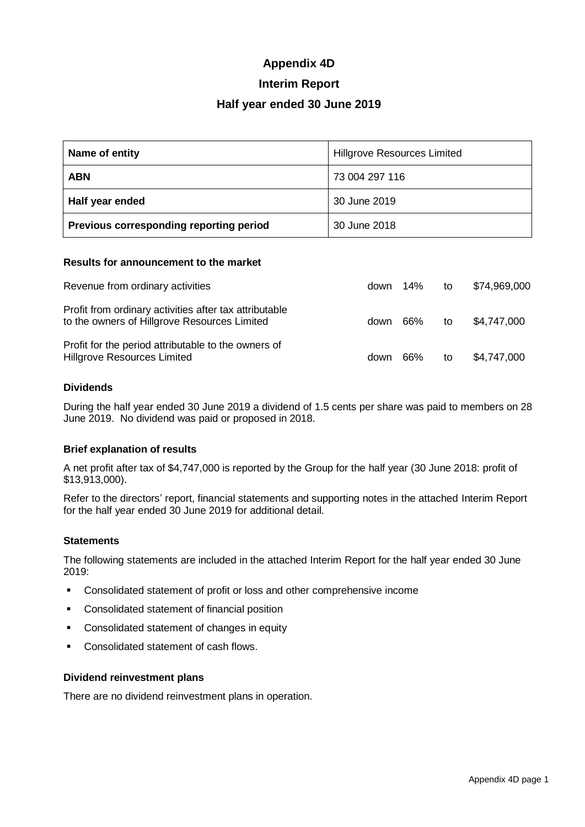### **Appendix 4D**

### **Interim Report**

### **Half year ended 30 June 2019**

| Name of entity                          | <b>Hillgrove Resources Limited</b> |
|-----------------------------------------|------------------------------------|
| <b>ABN</b>                              | 73 004 297 116                     |
| Half year ended                         | 30 June 2019                       |
| Previous corresponding reporting period | 30 June 2018                       |

#### **Results for announcement to the market**

| Revenue from ordinary activities                                                                       | down $14\%$ |     | to | \$74,969,000 |
|--------------------------------------------------------------------------------------------------------|-------------|-----|----|--------------|
| Profit from ordinary activities after tax attributable<br>to the owners of Hillgrove Resources Limited | down 66%    |     | to | \$4,747,000  |
| Profit for the period attributable to the owners of<br>Hillgrove Resources Limited                     | down        | 66% | to | \$4,747,000  |

#### **Dividends**

During the half year ended 30 June 2019 a dividend of 1.5 cents per share was paid to members on 28 June 2019. No dividend was paid or proposed in 2018.

### **Brief explanation of results**

A net profit after tax of \$4,747,000 is reported by the Group for the half year (30 June 2018: profit of \$13,913,000).

Refer to the directors' report, financial statements and supporting notes in the attached Interim Report for the half year ended 30 June 2019 for additional detail.

### **Statements**

The following statements are included in the attached Interim Report for the half year ended 30 June 2019:

- Consolidated statement of profit or loss and other comprehensive income
- Consolidated statement of financial position
- Consolidated statement of changes in equity
- Consolidated statement of cash flows.

#### **Dividend reinvestment plans**

There are no dividend reinvestment plans in operation.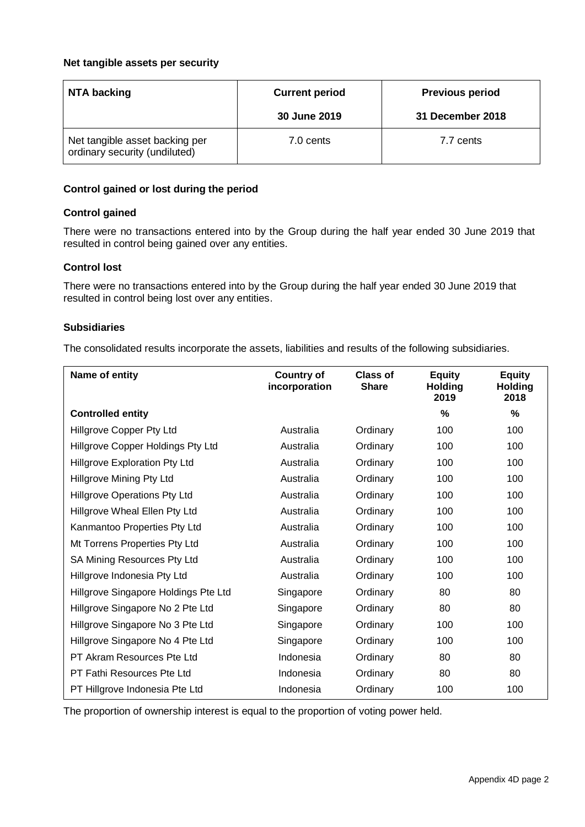### **Net tangible assets per security**

| NTA backing                                                     | <b>Current period</b> | <b>Previous period</b> |
|-----------------------------------------------------------------|-----------------------|------------------------|
|                                                                 | 30 June 2019          | 31 December 2018       |
| Net tangible asset backing per<br>ordinary security (undiluted) | 7.0 cents             | 7.7 cents              |

### **Control gained or lost during the period**

### **Control gained**

There were no transactions entered into by the Group during the half year ended 30 June 2019 that resulted in control being gained over any entities.

### **Control lost**

There were no transactions entered into by the Group during the half year ended 30 June 2019 that resulted in control being lost over any entities.

### **Subsidiaries**

The consolidated results incorporate the assets, liabilities and results of the following subsidiaries.

| Name of entity                       | <b>Country of</b><br>incorporation | <b>Class of</b><br><b>Share</b> | <b>Equity</b><br><b>Holding</b><br>2019 | <b>Equity</b><br><b>Holding</b><br>2018 |
|--------------------------------------|------------------------------------|---------------------------------|-----------------------------------------|-----------------------------------------|
| <b>Controlled entity</b>             |                                    |                                 | %                                       | %                                       |
| Hillgrove Copper Pty Ltd             | Australia                          | Ordinary                        | 100                                     | 100                                     |
| Hillgrove Copper Holdings Pty Ltd    | Australia                          | Ordinary                        | 100                                     | 100                                     |
| Hillgrove Exploration Pty Ltd        | Australia                          | Ordinary                        | 100                                     | 100                                     |
| Hillgrove Mining Pty Ltd             | Australia                          | Ordinary                        | 100                                     | 100                                     |
| <b>Hillgrove Operations Pty Ltd</b>  | Australia                          | Ordinary                        | 100                                     | 100                                     |
| Hillgrove Wheal Ellen Pty Ltd        | Australia                          | Ordinary                        | 100                                     | 100                                     |
| Kanmantoo Properties Pty Ltd         | Australia                          | Ordinary                        | 100                                     | 100                                     |
| Mt Torrens Properties Pty Ltd        | Australia                          | Ordinary                        | 100                                     | 100                                     |
| SA Mining Resources Pty Ltd          | Australia                          | Ordinary                        | 100                                     | 100                                     |
| Hillgrove Indonesia Pty Ltd          | Australia                          | Ordinary                        | 100                                     | 100                                     |
| Hillgrove Singapore Holdings Pte Ltd | Singapore                          | Ordinary                        | 80                                      | 80                                      |
| Hillgrove Singapore No 2 Pte Ltd     | Singapore                          | Ordinary                        | 80                                      | 80                                      |
| Hillgrove Singapore No 3 Pte Ltd     | Singapore                          | Ordinary                        | 100                                     | 100                                     |
| Hillgrove Singapore No 4 Pte Ltd     | Singapore                          | Ordinary                        | 100                                     | 100                                     |
| PT Akram Resources Pte Ltd           | Indonesia                          | Ordinary                        | 80                                      | 80                                      |
| PT Fathi Resources Pte Ltd           | Indonesia                          | Ordinary                        | 80                                      | 80                                      |
| PT Hillgrove Indonesia Pte Ltd       | Indonesia                          | Ordinary                        | 100                                     | 100                                     |

The proportion of ownership interest is equal to the proportion of voting power held.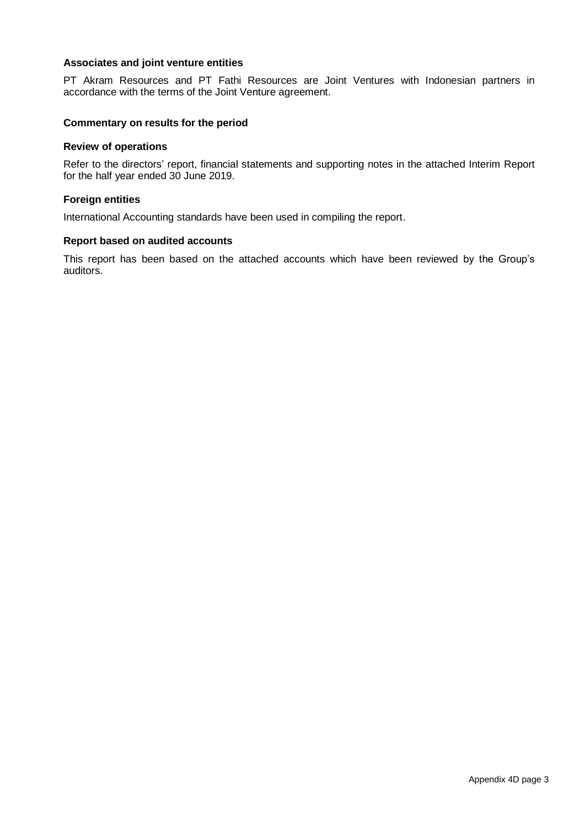### **Associates and joint venture entities**

PT Akram Resources and PT Fathi Resources are Joint Ventures with Indonesian partners in accordance with the terms of the Joint Venture agreement.

### **Commentary on results for the period**

#### **Review of operations**

Refer to the directors' report, financial statements and supporting notes in the attached Interim Report for the half year ended 30 June 2019.

#### **Foreign entities**

International Accounting standards have been used in compiling the report.

#### **Report based on audited accounts**

This report has been based on the attached accounts which have been reviewed by the Group's auditors.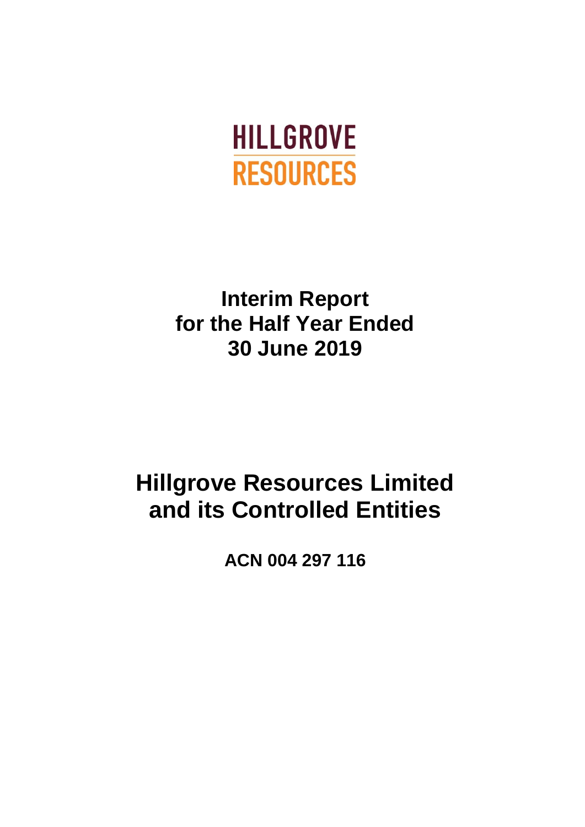

# **Interim Report for the Half Year Ended 30 June 2019**

# **Hillgrove Resources Limited and its Controlled Entities**

**ACN 004 297 116**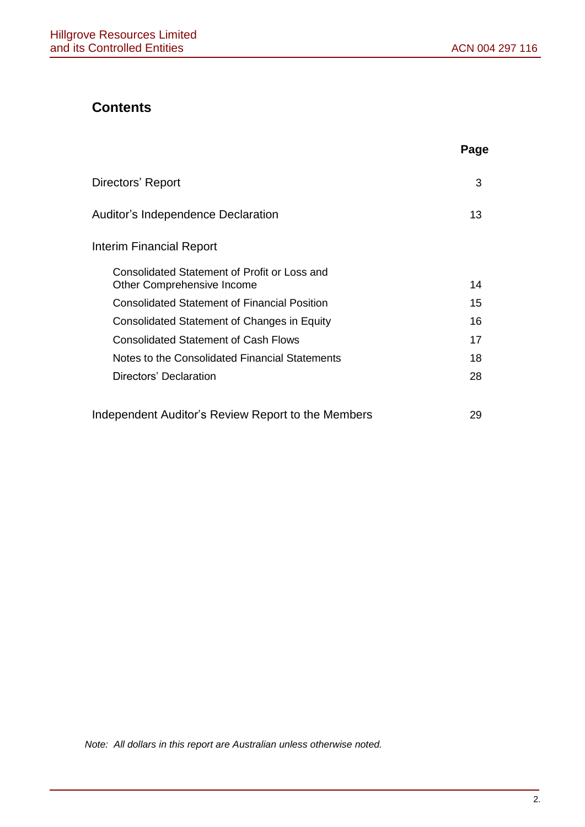## **Contents**

|                                                                            | Page |
|----------------------------------------------------------------------------|------|
| Directors' Report                                                          | 3    |
| Auditor's Independence Declaration                                         | 13   |
| Interim Financial Report                                                   |      |
| Consolidated Statement of Profit or Loss and<br>Other Comprehensive Income | 14   |
| <b>Consolidated Statement of Financial Position</b>                        | 15   |
| Consolidated Statement of Changes in Equity                                | 16   |
| <b>Consolidated Statement of Cash Flows</b>                                | 17   |
| Notes to the Consolidated Financial Statements                             | 18   |
| Directors' Declaration                                                     | 28   |
| Independent Auditor's Review Report to the Members                         | 29   |

*Note: All dollars in this report are Australian unless otherwise noted.*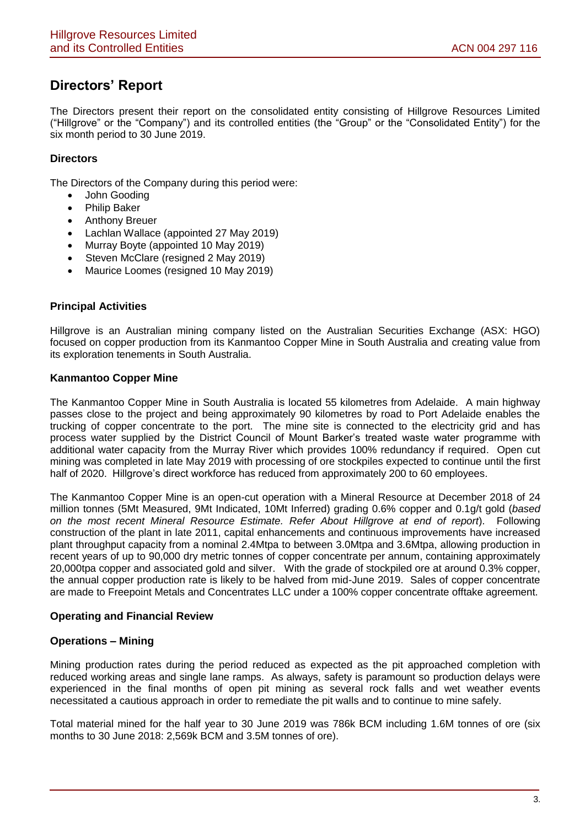## **Directors' Report**

The Directors present their report on the consolidated entity consisting of Hillgrove Resources Limited ("Hillgrove" or the "Company") and its controlled entities (the "Group" or the "Consolidated Entity") for the six month period to 30 June 2019.

### **Directors**

The Directors of the Company during this period were:

- John Gooding
- Philip Baker
- Anthony Breuer
- Lachlan Wallace (appointed 27 May 2019)
- Murray Boyte (appointed 10 May 2019)
- Steven McClare (resigned 2 May 2019)
- Maurice Loomes (resigned 10 May 2019)

### **Principal Activities**

Hillgrove is an Australian mining company listed on the Australian Securities Exchange (ASX: HGO) focused on copper production from its Kanmantoo Copper Mine in South Australia and creating value from its exploration tenements in South Australia.

### **Kanmantoo Copper Mine**

The Kanmantoo Copper Mine in South Australia is located 55 kilometres from Adelaide. A main highway passes close to the project and being approximately 90 kilometres by road to Port Adelaide enables the trucking of copper concentrate to the port. The mine site is connected to the electricity grid and has process water supplied by the District Council of Mount Barker's treated waste water programme with additional water capacity from the Murray River which provides 100% redundancy if required. Open cut mining was completed in late May 2019 with processing of ore stockpiles expected to continue until the first half of 2020. Hillgrove's direct workforce has reduced from approximately 200 to 60 employees.

The Kanmantoo Copper Mine is an open-cut operation with a Mineral Resource at December 2018 of 24 million tonnes (5Mt Measured, 9Mt Indicated, 10Mt Inferred) grading 0.6% copper and 0.1g/t gold (*based on the most recent Mineral Resource Estimate. Refer About Hillgrove at end of report*). Following construction of the plant in late 2011, capital enhancements and continuous improvements have increased plant throughput capacity from a nominal 2.4Mtpa to between 3.0Mtpa and 3.6Mtpa, allowing production in recent years of up to 90,000 dry metric tonnes of copper concentrate per annum, containing approximately 20,000tpa copper and associated gold and silver. With the grade of stockpiled ore at around 0.3% copper, the annual copper production rate is likely to be halved from mid-June 2019. Sales of copper concentrate are made to Freepoint Metals and Concentrates LLC under a 100% copper concentrate offtake agreement.

### **Operating and Financial Review**

### **Operations – Mining**

Mining production rates during the period reduced as expected as the pit approached completion with reduced working areas and single lane ramps. As always, safety is paramount so production delays were experienced in the final months of open pit mining as several rock falls and wet weather events necessitated a cautious approach in order to remediate the pit walls and to continue to mine safely.

Total material mined for the half year to 30 June 2019 was 786k BCM including 1.6M tonnes of ore (six months to 30 June 2018: 2,569k BCM and 3.5M tonnes of ore).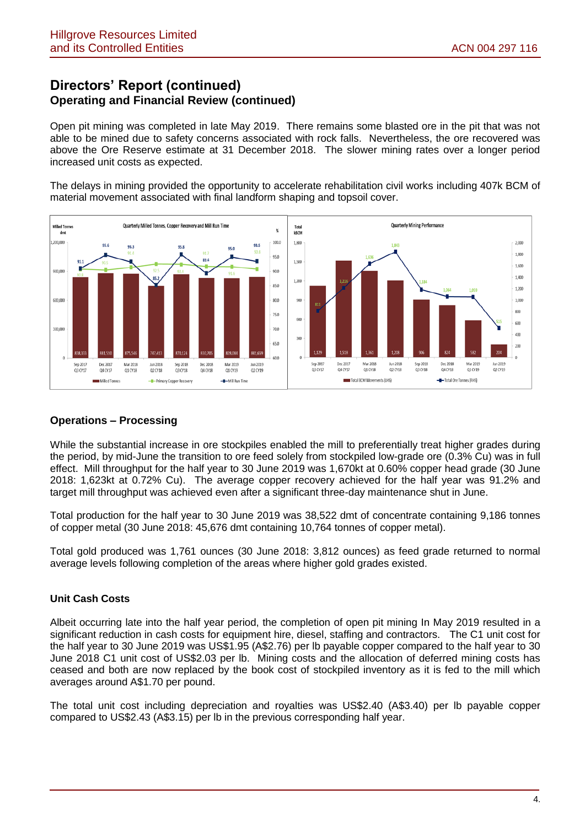Open pit mining was completed in late May 2019. There remains some blasted ore in the pit that was not able to be mined due to safety concerns associated with rock falls. Nevertheless, the ore recovered was above the Ore Reserve estimate at 31 December 2018. The slower mining rates over a longer period increased unit costs as expected.

The delays in mining provided the opportunity to accelerate rehabilitation civil works including 407k BCM of material movement associated with final landform shaping and topsoil cover.



### **Operations – Processing**

While the substantial increase in ore stockpiles enabled the mill to preferentially treat higher grades during the period, by mid-June the transition to ore feed solely from stockpiled low-grade ore (0.3% Cu) was in full effect. Mill throughput for the half year to 30 June 2019 was 1,670kt at 0.60% copper head grade (30 June 2018: 1,623kt at 0.72% Cu). The average copper recovery achieved for the half year was 91.2% and target mill throughput was achieved even after a significant three-day maintenance shut in June.

Total production for the half year to 30 June 2019 was 38,522 dmt of concentrate containing 9,186 tonnes of copper metal (30 June 2018: 45,676 dmt containing 10,764 tonnes of copper metal).

Total gold produced was 1,761 ounces (30 June 2018: 3,812 ounces) as feed grade returned to normal average levels following completion of the areas where higher gold grades existed.

### **Unit Cash Costs**

Albeit occurring late into the half year period, the completion of open pit mining In May 2019 resulted in a significant reduction in cash costs for equipment hire, diesel, staffing and contractors. The C1 unit cost for the half year to 30 June 2019 was US\$1.95 (A\$2.76) per lb payable copper compared to the half year to 30 June 2018 C1 unit cost of US\$2.03 per lb. Mining costs and the allocation of deferred mining costs has ceased and both are now replaced by the book cost of stockpiled inventory as it is fed to the mill which averages around A\$1.70 per pound.

The total unit cost including depreciation and royalties was US\$2.40 (A\$3.40) per lb payable copper compared to US\$2.43 (A\$3.15) per lb in the previous corresponding half year.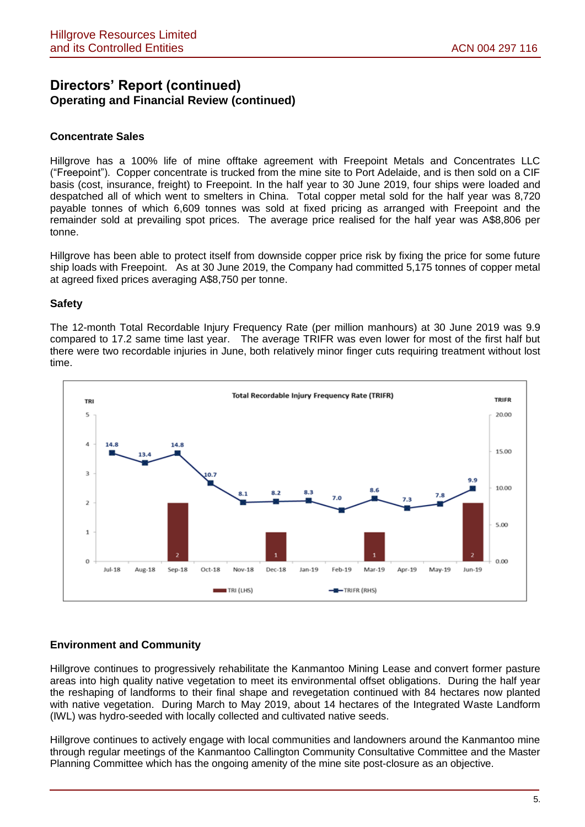### **Concentrate Sales**

Hillgrove has a 100% life of mine offtake agreement with Freepoint Metals and Concentrates LLC ("Freepoint"). Copper concentrate is trucked from the mine site to Port Adelaide, and is then sold on a CIF basis (cost, insurance, freight) to Freepoint. In the half year to 30 June 2019, four ships were loaded and despatched all of which went to smelters in China. Total copper metal sold for the half year was 8,720 payable tonnes of which 6,609 tonnes was sold at fixed pricing as arranged with Freepoint and the remainder sold at prevailing spot prices. The average price realised for the half year was A\$8,806 per tonne.

Hillgrove has been able to protect itself from downside copper price risk by fixing the price for some future ship loads with Freepoint. As at 30 June 2019, the Company had committed 5,175 tonnes of copper metal at agreed fixed prices averaging A\$8,750 per tonne.

### **Safety**

The 12-month Total Recordable Injury Frequency Rate (per million manhours) at 30 June 2019 was 9.9 compared to 17.2 same time last year. The average TRIFR was even lower for most of the first half but there were two recordable injuries in June, both relatively minor finger cuts requiring treatment without lost time.



### **Environment and Community**

Hillgrove continues to progressively rehabilitate the Kanmantoo Mining Lease and convert former pasture areas into high quality native vegetation to meet its environmental offset obligations. During the half year the reshaping of landforms to their final shape and revegetation continued with 84 hectares now planted with native vegetation. During March to May 2019, about 14 hectares of the Integrated Waste Landform (IWL) was hydro-seeded with locally collected and cultivated native seeds.

Hillgrove continues to actively engage with local communities and landowners around the Kanmantoo mine through regular meetings of the Kanmantoo Callington Community Consultative Committee and the Master Planning Committee which has the ongoing amenity of the mine site post-closure as an objective.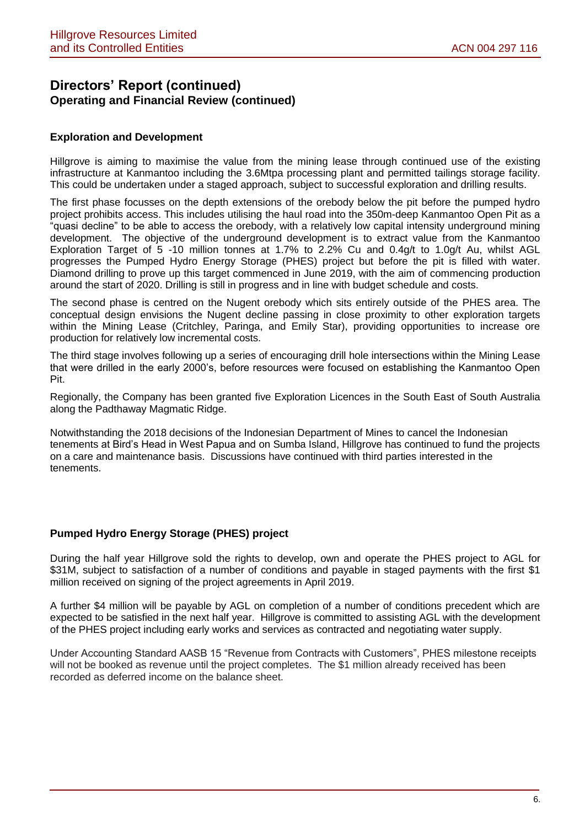### **Exploration and Development**

Hillgrove is aiming to maximise the value from the mining lease through continued use of the existing infrastructure at Kanmantoo including the 3.6Mtpa processing plant and permitted tailings storage facility. This could be undertaken under a staged approach, subject to successful exploration and drilling results.

The first phase focusses on the depth extensions of the orebody below the pit before the pumped hydro project prohibits access. This includes utilising the haul road into the 350m-deep Kanmantoo Open Pit as a "quasi decline" to be able to access the orebody, with a relatively low capital intensity underground mining development. The objective of the underground development is to extract value from the Kanmantoo Exploration Target of 5 -10 million tonnes at 1.7% to 2.2% Cu and 0.4g/t to 1.0g/t Au, whilst AGL progresses the Pumped Hydro Energy Storage (PHES) project but before the pit is filled with water. Diamond drilling to prove up this target commenced in June 2019, with the aim of commencing production around the start of 2020. Drilling is still in progress and in line with budget schedule and costs.

The second phase is centred on the Nugent orebody which sits entirely outside of the PHES area. The conceptual design envisions the Nugent decline passing in close proximity to other exploration targets within the Mining Lease (Critchley, Paringa, and Emily Star), providing opportunities to increase ore production for relatively low incremental costs.

The third stage involves following up a series of encouraging drill hole intersections within the Mining Lease that were drilled in the early 2000's, before resources were focused on establishing the Kanmantoo Open Pit.

Regionally, the Company has been granted five Exploration Licences in the South East of South Australia along the Padthaway Magmatic Ridge.

Notwithstanding the 2018 decisions of the Indonesian Department of Mines to cancel the Indonesian tenements at Bird's Head in West Papua and on Sumba Island, Hillgrove has continued to fund the projects on a care and maintenance basis. Discussions have continued with third parties interested in the tenements.

### **Pumped Hydro Energy Storage (PHES) project**

During the half year Hillgrove sold the rights to develop, own and operate the PHES project to AGL for \$31M, subject to satisfaction of a number of conditions and payable in staged payments with the first \$1 million received on signing of the project agreements in April 2019.

A further \$4 million will be payable by AGL on completion of a number of conditions precedent which are expected to be satisfied in the next half year. Hillgrove is committed to assisting AGL with the development of the PHES project including early works and services as contracted and negotiating water supply.

Under Accounting Standard AASB 15 "Revenue from Contracts with Customers", PHES milestone receipts will not be booked as revenue until the project completes. The \$1 million already received has been recorded as deferred income on the balance sheet.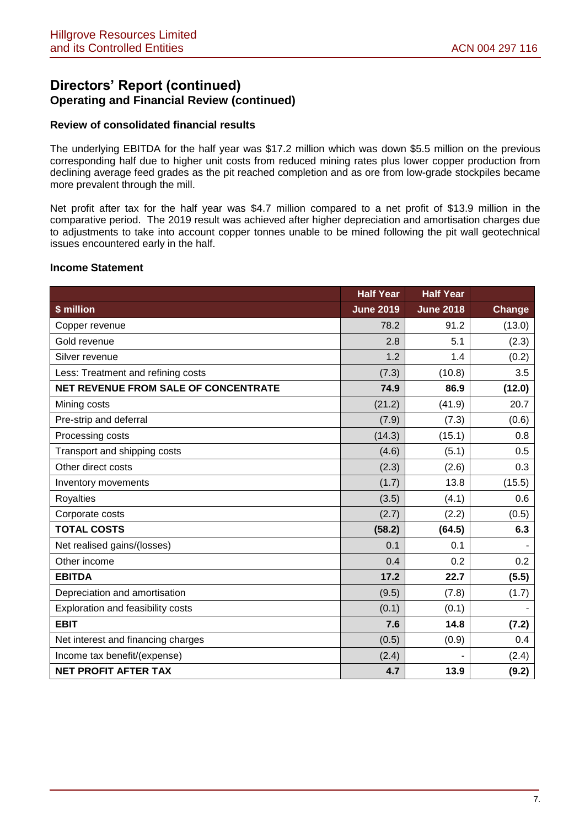### **Review of consolidated financial results**

The underlying EBITDA for the half year was \$17.2 million which was down \$5.5 million on the previous corresponding half due to higher unit costs from reduced mining rates plus lower copper production from declining average feed grades as the pit reached completion and as ore from low-grade stockpiles became more prevalent through the mill.

Net profit after tax for the half year was \$4.7 million compared to a net profit of \$13.9 million in the comparative period. The 2019 result was achieved after higher depreciation and amortisation charges due to adjustments to take into account copper tonnes unable to be mined following the pit wall geotechnical issues encountered early in the half.

### **Income Statement**

|                                      | <b>Half Year</b> | <b>Half Year</b> |        |
|--------------------------------------|------------------|------------------|--------|
| \$ million                           | <b>June 2019</b> | <b>June 2018</b> | Change |
| Copper revenue                       | 78.2             | 91.2             | (13.0) |
| Gold revenue                         | 2.8              | 5.1              | (2.3)  |
| Silver revenue                       | 1.2              | 1.4              | (0.2)  |
| Less: Treatment and refining costs   | (7.3)            | (10.8)           | 3.5    |
| NET REVENUE FROM SALE OF CONCENTRATE | 74.9             | 86.9             | (12.0) |
| Mining costs                         | (21.2)           | (41.9)           | 20.7   |
| Pre-strip and deferral               | (7.9)            | (7.3)            | (0.6)  |
| Processing costs                     | (14.3)           | (15.1)           | 0.8    |
| Transport and shipping costs         | (4.6)            | (5.1)            | 0.5    |
| Other direct costs                   | (2.3)            | (2.6)            | 0.3    |
| Inventory movements                  | (1.7)            | 13.8             | (15.5) |
| <b>Royalties</b>                     | (3.5)            | (4.1)            | 0.6    |
| Corporate costs                      | (2.7)            | (2.2)            | (0.5)  |
| <b>TOTAL COSTS</b>                   | (58.2)           | (64.5)           | 6.3    |
| Net realised gains/(losses)          | 0.1              | 0.1              |        |
| Other income                         | 0.4              | 0.2              | 0.2    |
| <b>EBITDA</b>                        | 17.2             | 22.7             | (5.5)  |
| Depreciation and amortisation        | (9.5)            | (7.8)            | (1.7)  |
| Exploration and feasibility costs    | (0.1)            | (0.1)            |        |
| <b>EBIT</b>                          | 7.6              | 14.8             | (7.2)  |
| Net interest and financing charges   | (0.5)            | (0.9)            | 0.4    |
| Income tax benefit/(expense)         | (2.4)            |                  | (2.4)  |
| <b>NET PROFIT AFTER TAX</b>          | 4.7              | 13.9             | (9.2)  |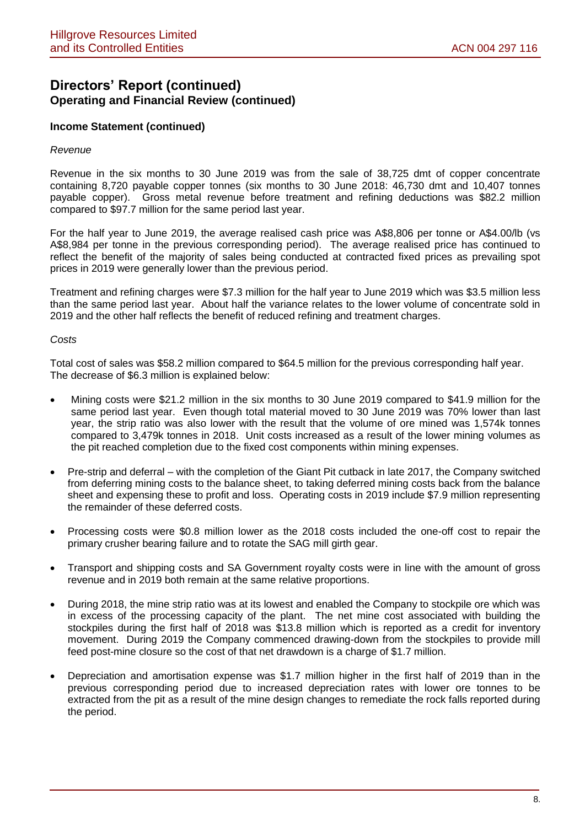### **Income Statement (continued)**

#### *Revenue*

Revenue in the six months to 30 June 2019 was from the sale of 38,725 dmt of copper concentrate containing 8,720 payable copper tonnes (six months to 30 June 2018: 46,730 dmt and 10,407 tonnes payable copper). Gross metal revenue before treatment and refining deductions was \$82.2 million compared to \$97.7 million for the same period last year.

For the half year to June 2019, the average realised cash price was A\$8,806 per tonne or A\$4.00/lb (vs A\$8,984 per tonne in the previous corresponding period). The average realised price has continued to reflect the benefit of the majority of sales being conducted at contracted fixed prices as prevailing spot prices in 2019 were generally lower than the previous period.

Treatment and refining charges were \$7.3 million for the half year to June 2019 which was \$3.5 million less than the same period last year. About half the variance relates to the lower volume of concentrate sold in 2019 and the other half reflects the benefit of reduced refining and treatment charges.

#### *Costs*

Total cost of sales was \$58.2 million compared to \$64.5 million for the previous corresponding half year. The decrease of \$6.3 million is explained below:

- Mining costs were \$21.2 million in the six months to 30 June 2019 compared to \$41.9 million for the same period last year. Even though total material moved to 30 June 2019 was 70% lower than last year, the strip ratio was also lower with the result that the volume of ore mined was 1,574k tonnes compared to 3,479k tonnes in 2018. Unit costs increased as a result of the lower mining volumes as the pit reached completion due to the fixed cost components within mining expenses.
- Pre-strip and deferral with the completion of the Giant Pit cutback in late 2017, the Company switched from deferring mining costs to the balance sheet, to taking deferred mining costs back from the balance sheet and expensing these to profit and loss. Operating costs in 2019 include \$7.9 million representing the remainder of these deferred costs.
- Processing costs were \$0.8 million lower as the 2018 costs included the one-off cost to repair the primary crusher bearing failure and to rotate the SAG mill girth gear.
- Transport and shipping costs and SA Government royalty costs were in line with the amount of gross revenue and in 2019 both remain at the same relative proportions.
- During 2018, the mine strip ratio was at its lowest and enabled the Company to stockpile ore which was in excess of the processing capacity of the plant. The net mine cost associated with building the stockpiles during the first half of 2018 was \$13.8 million which is reported as a credit for inventory movement. During 2019 the Company commenced drawing-down from the stockpiles to provide mill feed post-mine closure so the cost of that net drawdown is a charge of \$1.7 million.
- Depreciation and amortisation expense was \$1.7 million higher in the first half of 2019 than in the previous corresponding period due to increased depreciation rates with lower ore tonnes to be extracted from the pit as a result of the mine design changes to remediate the rock falls reported during the period.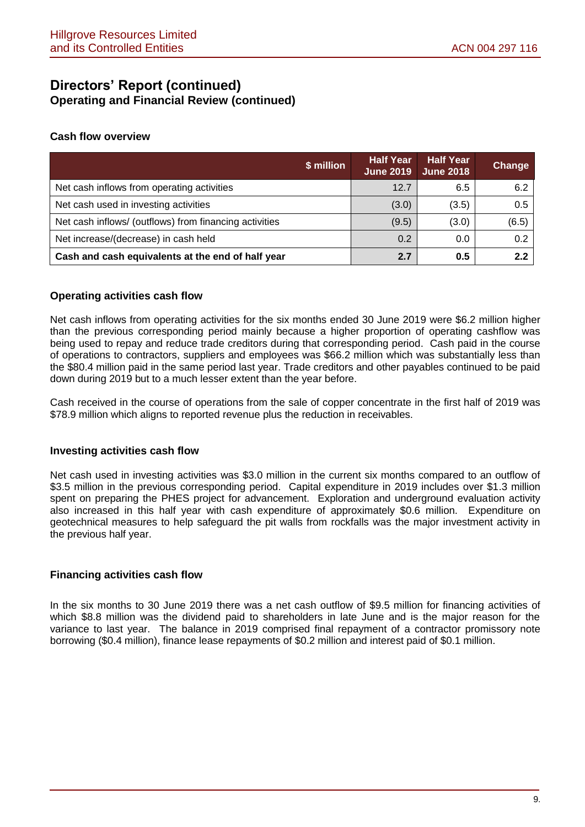### **Cash flow overview**

| \$ million                                             | <b>Half Year</b><br><b>June 2019</b> | <b>Half Year</b><br><b>June 2018</b> | <b>Change</b> |
|--------------------------------------------------------|--------------------------------------|--------------------------------------|---------------|
| Net cash inflows from operating activities             | 12.7                                 | 6.5                                  | 6.2           |
| Net cash used in investing activities                  | (3.0)                                | (3.5)                                | 0.5           |
| Net cash inflows/ (outflows) from financing activities | (9.5)                                | (3.0)                                | (6.5)         |
| Net increase/(decrease) in cash held                   | 0.2                                  | 0.0                                  | 0.2           |
| Cash and cash equivalents at the end of half year      | 2.7                                  | 0.5                                  | 2.2           |

### **Operating activities cash flow**

Net cash inflows from operating activities for the six months ended 30 June 2019 were \$6.2 million higher than the previous corresponding period mainly because a higher proportion of operating cashflow was being used to repay and reduce trade creditors during that corresponding period. Cash paid in the course of operations to contractors, suppliers and employees was \$66.2 million which was substantially less than the \$80.4 million paid in the same period last year. Trade creditors and other payables continued to be paid down during 2019 but to a much lesser extent than the year before.

Cash received in the course of operations from the sale of copper concentrate in the first half of 2019 was \$78.9 million which aligns to reported revenue plus the reduction in receivables.

### **Investing activities cash flow**

Net cash used in investing activities was \$3.0 million in the current six months compared to an outflow of \$3.5 million in the previous corresponding period. Capital expenditure in 2019 includes over \$1.3 million spent on preparing the PHES project for advancement. Exploration and underground evaluation activity also increased in this half year with cash expenditure of approximately \$0.6 million. Expenditure on geotechnical measures to help safeguard the pit walls from rockfalls was the major investment activity in the previous half year.

### **Financing activities cash flow**

In the six months to 30 June 2019 there was a net cash outflow of \$9.5 million for financing activities of which \$8.8 million was the dividend paid to shareholders in late June and is the major reason for the variance to last year. The balance in 2019 comprised final repayment of a contractor promissory note borrowing (\$0.4 million), finance lease repayments of \$0.2 million and interest paid of \$0.1 million.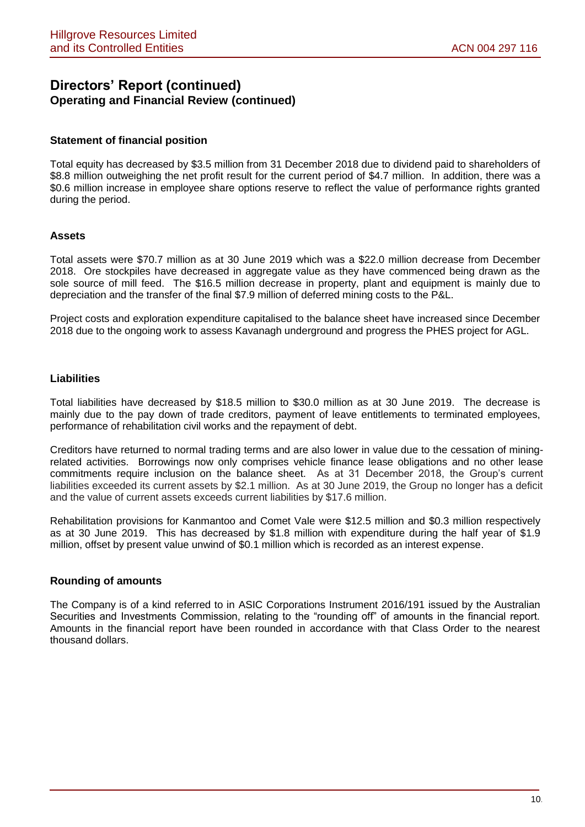### **Statement of financial position**

Total equity has decreased by \$3.5 million from 31 December 2018 due to dividend paid to shareholders of \$8.8 million outweighing the net profit result for the current period of \$4.7 million. In addition, there was a \$0.6 million increase in employee share options reserve to reflect the value of performance rights granted during the period.

### **Assets**

Total assets were \$70.7 million as at 30 June 2019 which was a \$22.0 million decrease from December 2018. Ore stockpiles have decreased in aggregate value as they have commenced being drawn as the sole source of mill feed. The \$16.5 million decrease in property, plant and equipment is mainly due to depreciation and the transfer of the final \$7.9 million of deferred mining costs to the P&L.

Project costs and exploration expenditure capitalised to the balance sheet have increased since December 2018 due to the ongoing work to assess Kavanagh underground and progress the PHES project for AGL.

### **Liabilities**

Total liabilities have decreased by \$18.5 million to \$30.0 million as at 30 June 2019. The decrease is mainly due to the pay down of trade creditors, payment of leave entitlements to terminated employees, performance of rehabilitation civil works and the repayment of debt.

Creditors have returned to normal trading terms and are also lower in value due to the cessation of miningrelated activities. Borrowings now only comprises vehicle finance lease obligations and no other lease commitments require inclusion on the balance sheet. As at 31 December 2018, the Group's current liabilities exceeded its current assets by \$2.1 million. As at 30 June 2019, the Group no longer has a deficit and the value of current assets exceeds current liabilities by \$17.6 million.

Rehabilitation provisions for Kanmantoo and Comet Vale were \$12.5 million and \$0.3 million respectively as at 30 June 2019. This has decreased by \$1.8 million with expenditure during the half year of \$1.9 million, offset by present value unwind of \$0.1 million which is recorded as an interest expense.

### **Rounding of amounts**

The Company is of a kind referred to in ASIC Corporations Instrument 2016/191 issued by the Australian Securities and Investments Commission, relating to the "rounding off" of amounts in the financial report. Amounts in the financial report have been rounded in accordance with that Class Order to the nearest thousand dollars.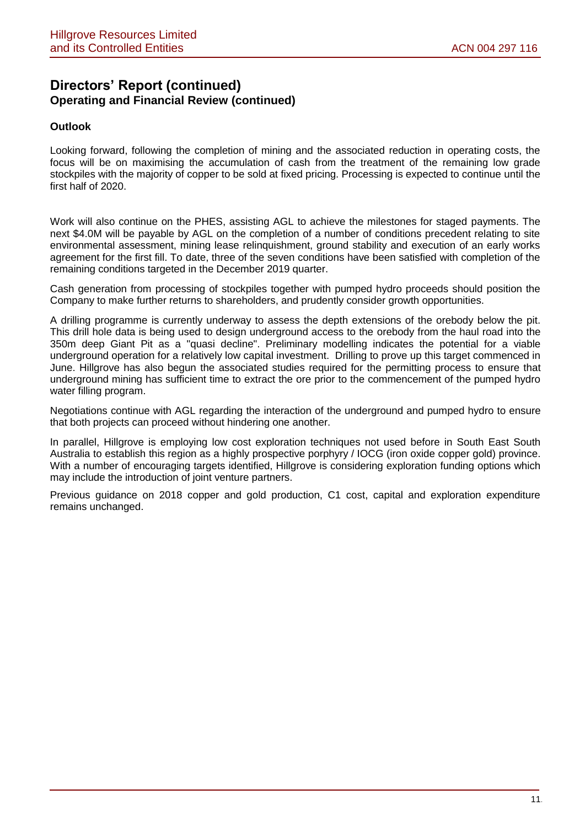### **Outlook**

Looking forward, following the completion of mining and the associated reduction in operating costs, the focus will be on maximising the accumulation of cash from the treatment of the remaining low grade stockpiles with the majority of copper to be sold at fixed pricing. Processing is expected to continue until the first half of 2020.

Work will also continue on the PHES, assisting AGL to achieve the milestones for staged payments. The next \$4.0M will be payable by AGL on the completion of a number of conditions precedent relating to site environmental assessment, mining lease relinquishment, ground stability and execution of an early works agreement for the first fill. To date, three of the seven conditions have been satisfied with completion of the remaining conditions targeted in the December 2019 quarter.

Cash generation from processing of stockpiles together with pumped hydro proceeds should position the Company to make further returns to shareholders, and prudently consider growth opportunities.

A drilling programme is currently underway to assess the depth extensions of the orebody below the pit. This drill hole data is being used to design underground access to the orebody from the haul road into the 350m deep Giant Pit as a "quasi decline". Preliminary modelling indicates the potential for a viable underground operation for a relatively low capital investment. Drilling to prove up this target commenced in June. Hillgrove has also begun the associated studies required for the permitting process to ensure that underground mining has sufficient time to extract the ore prior to the commencement of the pumped hydro water filling program.

Negotiations continue with AGL regarding the interaction of the underground and pumped hydro to ensure that both projects can proceed without hindering one another.

In parallel, Hillgrove is employing low cost exploration techniques not used before in South East South Australia to establish this region as a highly prospective porphyry / IOCG (iron oxide copper gold) province. With a number of encouraging targets identified, Hillgrove is considering exploration funding options which may include the introduction of joint venture partners.

Previous guidance on 2018 copper and gold production, C1 cost, capital and exploration expenditure remains unchanged.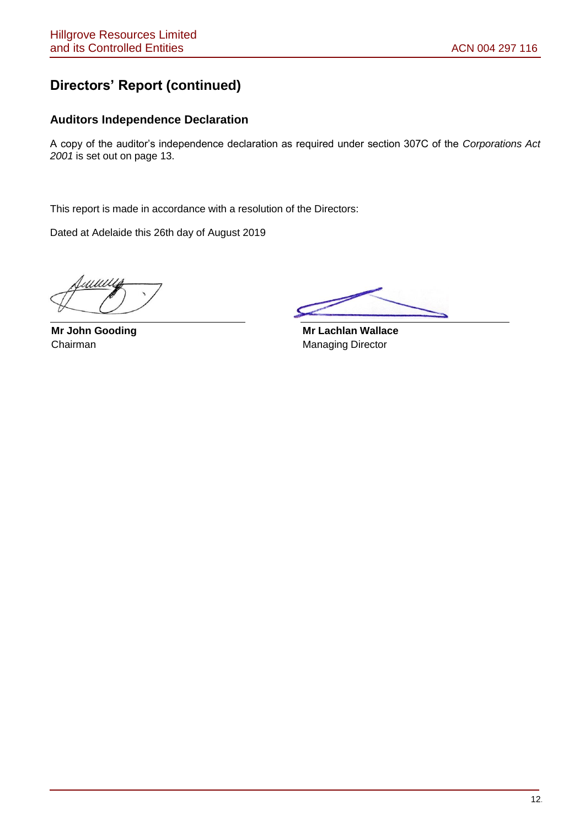## **Directors' Report (continued)**

### **Auditors Independence Declaration**

A copy of the auditor's independence declaration as required under section 307C of the *Corporations Act 2001* is set out on page 13.

This report is made in accordance with a resolution of the Directors:

Dated at Adelaide this 26th day of August 2019

**Mr John Gooding** Chairman

 **Mr Lachlan Wallace** Managing Director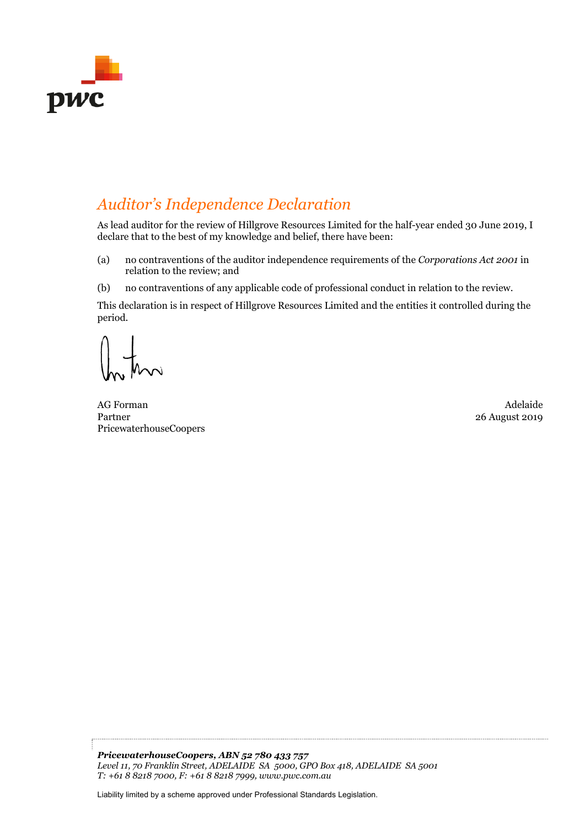

## *Auditor's Independence Declaration*

As lead auditor for the review of Hillgrove Resources Limited for the half-year ended 30 June 2019, I declare that to the best of my knowledge and belief, there have been:

- (a) no contraventions of the auditor independence requirements of the *Corporations Act 2001* in relation to the review; and
- (b) no contraventions of any applicable code of professional conduct in relation to the review.

This declaration is in respect of Hillgrove Resources Limited and the entities it controlled during the period.

AG Forman Adelaide Partner PricewaterhouseCoopers

26 August 2019

*PricewaterhouseCoopers, ABN 52 780 433 757 Level 11, 70 Franklin Street, ADELAIDE SA 5000, GPO Box 418, ADELAIDE SA 5001 T: +61 8 8218 7000, F: +61 8 8218 7999, www.pwc.com.au* 

Liability limited by a scheme approved under Professional Standards Legislation.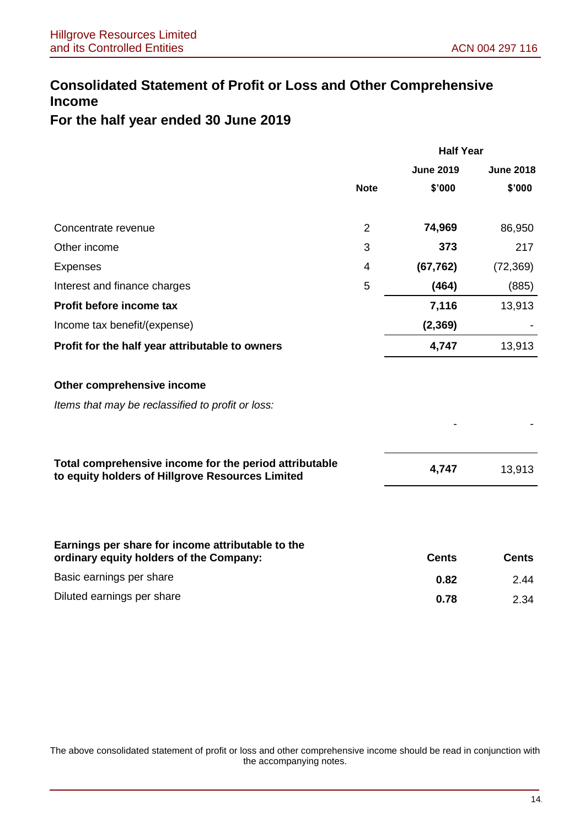## **Consolidated Statement of Profit or Loss and Other Comprehensive Income**

## **For the half year ended 30 June 2019**

|                                                                                                            | <b>Half Year</b> |                  |                  |
|------------------------------------------------------------------------------------------------------------|------------------|------------------|------------------|
|                                                                                                            |                  | <b>June 2019</b> | <b>June 2018</b> |
|                                                                                                            | <b>Note</b>      | \$'000           | \$'000           |
| Concentrate revenue                                                                                        | $\overline{2}$   | 74,969           | 86,950           |
| Other income                                                                                               | 3                | 373              | 217              |
| <b>Expenses</b>                                                                                            | 4                | (67, 762)        | (72, 369)        |
| Interest and finance charges                                                                               | 5                | (464)            | (885)            |
| Profit before income tax                                                                                   |                  | 7,116            | 13,913           |
| Income tax benefit/(expense)                                                                               |                  | (2, 369)         |                  |
| Profit for the half year attributable to owners                                                            |                  | 4,747            | 13,913           |
| Other comprehensive income                                                                                 |                  |                  |                  |
| Items that may be reclassified to profit or loss:                                                          |                  |                  |                  |
|                                                                                                            |                  |                  |                  |
| Total comprehensive income for the period attributable<br>to equity holders of Hillgrove Resources Limited |                  | 4,747            | 13,913           |
|                                                                                                            |                  |                  |                  |
| Earnings per share for income attributable to the<br>ordinary equity holders of the Company:               |                  | <b>Cents</b>     | <b>Cents</b>     |
| Basic earnings per share                                                                                   |                  | 0.82             | 2.44             |
| Diluted earnings per share                                                                                 |                  | 0.78             | 2.34             |

The above consolidated statement of profit or loss and other comprehensive income should be read in conjunction with the accompanying notes.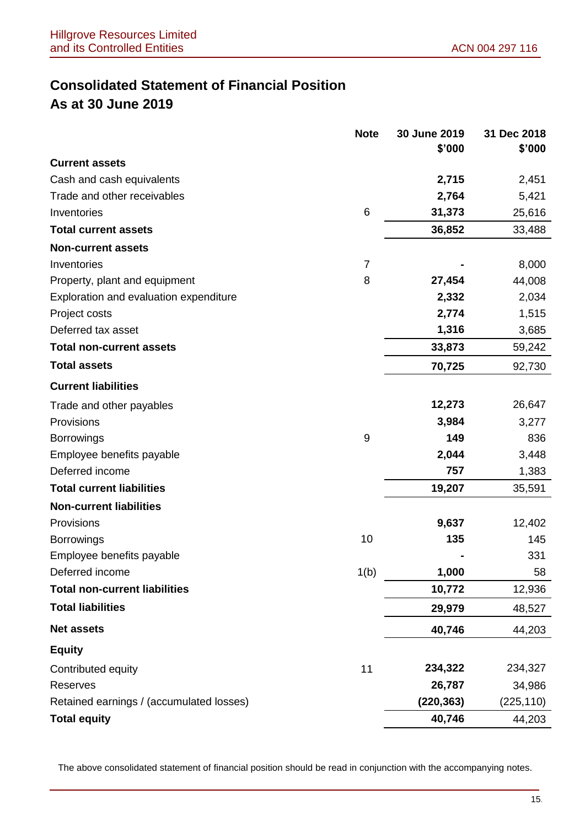## **Consolidated Statement of Financial Position As at 30 June 2019**

|                                          | <b>Note</b>      | 30 June 2019 | 31 Dec 2018 |
|------------------------------------------|------------------|--------------|-------------|
|                                          |                  | \$'000       | \$'000      |
| <b>Current assets</b>                    |                  |              |             |
| Cash and cash equivalents                |                  | 2,715        | 2,451       |
| Trade and other receivables              |                  | 2,764        | 5,421       |
| Inventories                              | 6                | 31,373       | 25,616      |
| <b>Total current assets</b>              |                  | 36,852       | 33,488      |
| <b>Non-current assets</b>                |                  |              |             |
| Inventories                              | $\overline{7}$   |              | 8,000       |
| Property, plant and equipment            | 8                | 27,454       | 44,008      |
| Exploration and evaluation expenditure   |                  | 2,332        | 2,034       |
| Project costs                            |                  | 2,774        | 1,515       |
| Deferred tax asset                       |                  | 1,316        | 3,685       |
| <b>Total non-current assets</b>          |                  | 33,873       | 59,242      |
| <b>Total assets</b>                      |                  | 70,725       | 92,730      |
| <b>Current liabilities</b>               |                  |              |             |
| Trade and other payables                 |                  | 12,273       | 26,647      |
| Provisions                               |                  | 3,984        | 3,277       |
| <b>Borrowings</b>                        | $\boldsymbol{9}$ | 149          | 836         |
| Employee benefits payable                |                  | 2,044        | 3,448       |
| Deferred income                          |                  | 757          | 1,383       |
| <b>Total current liabilities</b>         |                  | 19,207       | 35,591      |
| <b>Non-current liabilities</b>           |                  |              |             |
| Provisions                               |                  | 9,637        | 12,402      |
| <b>Borrowings</b>                        | 10               | 135          | 145         |
| Employee benefits payable                |                  |              | 331         |
| Deferred income                          | 1(b)             | 1,000        | 58          |
| <b>Total non-current liabilities</b>     |                  | 10,772       | 12,936      |
| <b>Total liabilities</b>                 |                  | 29,979       | 48,527      |
| <b>Net assets</b>                        |                  | 40,746       | 44,203      |
| <b>Equity</b>                            |                  |              |             |
| Contributed equity                       | 11               | 234,322      | 234,327     |
| Reserves                                 |                  | 26,787       | 34,986      |
| Retained earnings / (accumulated losses) |                  | (220, 363)   | (225, 110)  |
| <b>Total equity</b>                      |                  | 40,746       | 44,203      |

The above consolidated statement of financial position should be read in conjunction with the accompanying notes.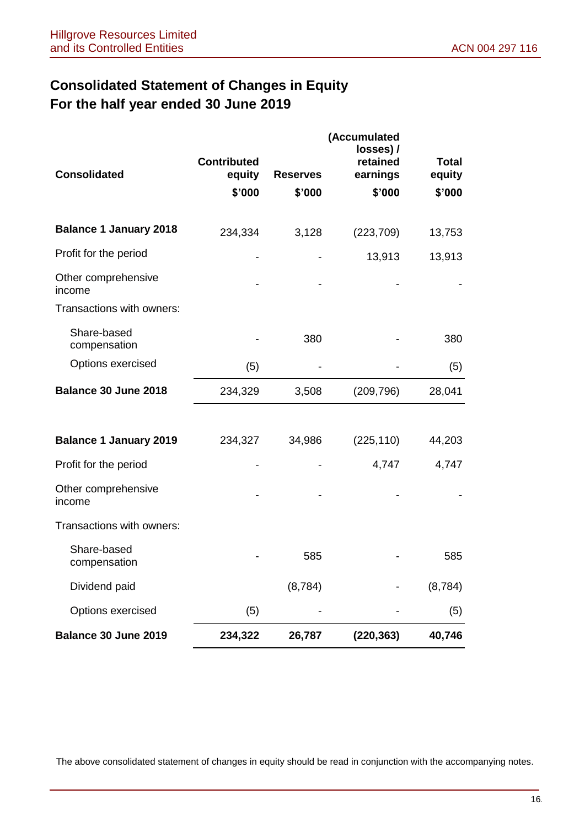## **Consolidated Statement of Changes in Equity For the half year ended 30 June 2019**

| <b>Consolidated</b>           | <b>Contributed</b><br>equity<br>\$'000 | <b>Reserves</b><br>\$'000 | (Accumulated<br>losses) /<br>retained<br>earnings<br>\$'000 | <b>Total</b><br>equity<br>\$'000 |
|-------------------------------|----------------------------------------|---------------------------|-------------------------------------------------------------|----------------------------------|
| <b>Balance 1 January 2018</b> | 234,334                                | 3,128                     | (223, 709)                                                  | 13,753                           |
| Profit for the period         |                                        |                           | 13,913                                                      | 13,913                           |
| Other comprehensive<br>income |                                        |                           |                                                             |                                  |
| Transactions with owners:     |                                        |                           |                                                             |                                  |
| Share-based<br>compensation   |                                        | 380                       |                                                             | 380                              |
| Options exercised             | (5)                                    |                           |                                                             | (5)                              |
| Balance 30 June 2018          | 234,329                                | 3,508                     | (209, 796)                                                  | 28,041                           |
|                               |                                        |                           |                                                             |                                  |
| <b>Balance 1 January 2019</b> | 234,327                                | 34,986                    | (225, 110)                                                  | 44,203                           |
| Profit for the period         |                                        |                           | 4,747                                                       | 4,747                            |
| Other comprehensive<br>income |                                        |                           |                                                             |                                  |
| Transactions with owners:     |                                        |                           |                                                             |                                  |
| Share-based<br>compensation   |                                        | 585                       |                                                             | 585                              |
| Dividend paid                 |                                        | (8,784)                   |                                                             | (8,784)                          |
| Options exercised             | (5)                                    |                           |                                                             | (5)                              |
| Balance 30 June 2019          | 234,322                                | 26,787                    | (220, 363)                                                  | 40,746                           |

The above consolidated statement of changes in equity should be read in conjunction with the accompanying notes.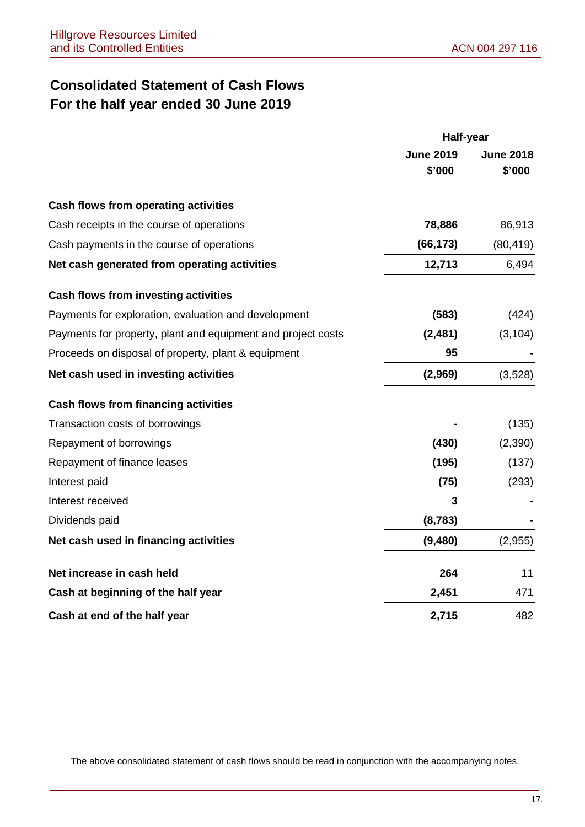## **Consolidated Statement of Cash Flows For the half year ended 30 June 2019**

|                                                              | Half-year                  |                            |
|--------------------------------------------------------------|----------------------------|----------------------------|
|                                                              | <b>June 2019</b><br>\$'000 | <b>June 2018</b><br>\$'000 |
| Cash flows from operating activities                         |                            |                            |
| Cash receipts in the course of operations                    | 78,886                     | 86,913                     |
| Cash payments in the course of operations                    | (66, 173)                  | (80, 419)                  |
| Net cash generated from operating activities                 | 12,713                     | 6,494                      |
| <b>Cash flows from investing activities</b>                  |                            |                            |
| Payments for exploration, evaluation and development         | (583)                      | (424)                      |
| Payments for property, plant and equipment and project costs | (2,481)                    | (3, 104)                   |
| Proceeds on disposal of property, plant & equipment          | 95                         |                            |
| Net cash used in investing activities                        | (2,969)                    | (3,528)                    |
| <b>Cash flows from financing activities</b>                  |                            |                            |
| Transaction costs of borrowings                              |                            | (135)                      |
| Repayment of borrowings                                      | (430)                      | (2,390)                    |
| Repayment of finance leases                                  | (195)                      | (137)                      |
| Interest paid                                                | (75)                       | (293)                      |
| Interest received                                            | 3                          |                            |
| Dividends paid                                               | (8, 783)                   |                            |
| Net cash used in financing activities                        | (9,480)                    | (2,955)                    |
| Net increase in cash held                                    | 264                        | 11                         |
| Cash at beginning of the half year                           | 2,451                      | 471                        |
| Cash at end of the half year                                 | 2,715                      | 482                        |

The above consolidated statement of cash flows should be read in conjunction with the accompanying notes.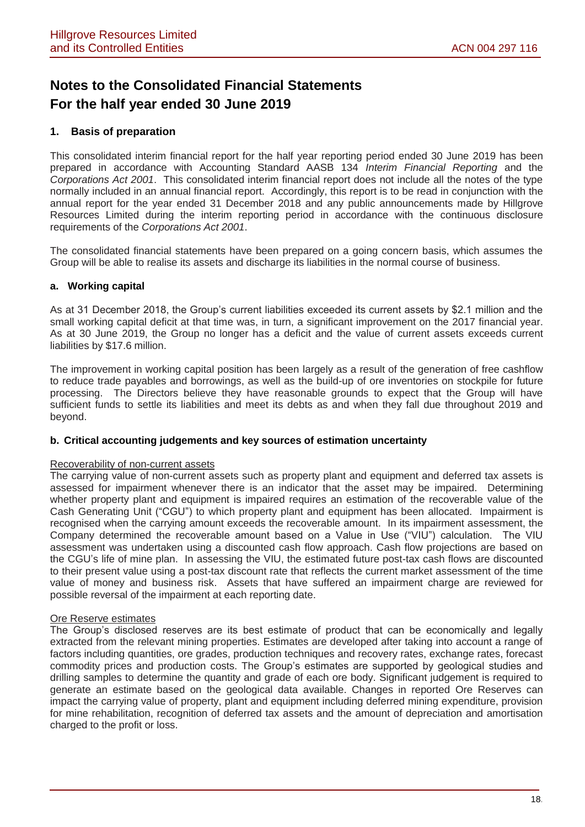## **Notes to the Consolidated Financial Statements For the half year ended 30 June 2019**

### **1. Basis of preparation**

This consolidated interim financial report for the half year reporting period ended 30 June 2019 has been prepared in accordance with Accounting Standard AASB 134 *Interim Financial Reporting* and the *Corporations Act 2001*. This consolidated interim financial report does not include all the notes of the type normally included in an annual financial report. Accordingly, this report is to be read in conjunction with the annual report for the year ended 31 December 2018 and any public announcements made by Hillgrove Resources Limited during the interim reporting period in accordance with the continuous disclosure requirements of the *Corporations Act 2001*.

The consolidated financial statements have been prepared on a going concern basis, which assumes the Group will be able to realise its assets and discharge its liabilities in the normal course of business.

### **a. Working capital**

As at 31 December 2018, the Group's current liabilities exceeded its current assets by \$2.1 million and the small working capital deficit at that time was, in turn, a significant improvement on the 2017 financial year. As at 30 June 2019, the Group no longer has a deficit and the value of current assets exceeds current liabilities by \$17.6 million.

The improvement in working capital position has been largely as a result of the generation of free cashflow to reduce trade payables and borrowings, as well as the build-up of ore inventories on stockpile for future processing. The Directors believe they have reasonable grounds to expect that the Group will have sufficient funds to settle its liabilities and meet its debts as and when they fall due throughout 2019 and beyond.

#### **b. Critical accounting judgements and key sources of estimation uncertainty**

#### Recoverability of non-current assets

The carrying value of non-current assets such as property plant and equipment and deferred tax assets is assessed for impairment whenever there is an indicator that the asset may be impaired. Determining whether property plant and equipment is impaired requires an estimation of the recoverable value of the Cash Generating Unit ("CGU") to which property plant and equipment has been allocated. Impairment is recognised when the carrying amount exceeds the recoverable amount. In its impairment assessment, the Company determined the recoverable amount based on a Value in Use ("VIU") calculation. The VIU assessment was undertaken using a discounted cash flow approach. Cash flow projections are based on the CGU's life of mine plan. In assessing the VIU, the estimated future post-tax cash flows are discounted to their present value using a post-tax discount rate that reflects the current market assessment of the time value of money and business risk. Assets that have suffered an impairment charge are reviewed for possible reversal of the impairment at each reporting date.

#### Ore Reserve estimates

The Group's disclosed reserves are its best estimate of product that can be economically and legally extracted from the relevant mining properties. Estimates are developed after taking into account a range of factors including quantities, ore grades, production techniques and recovery rates, exchange rates, forecast commodity prices and production costs. The Group's estimates are supported by geological studies and drilling samples to determine the quantity and grade of each ore body. Significant judgement is required to generate an estimate based on the geological data available. Changes in reported Ore Reserves can impact the carrying value of property, plant and equipment including deferred mining expenditure, provision for mine rehabilitation, recognition of deferred tax assets and the amount of depreciation and amortisation charged to the profit or loss.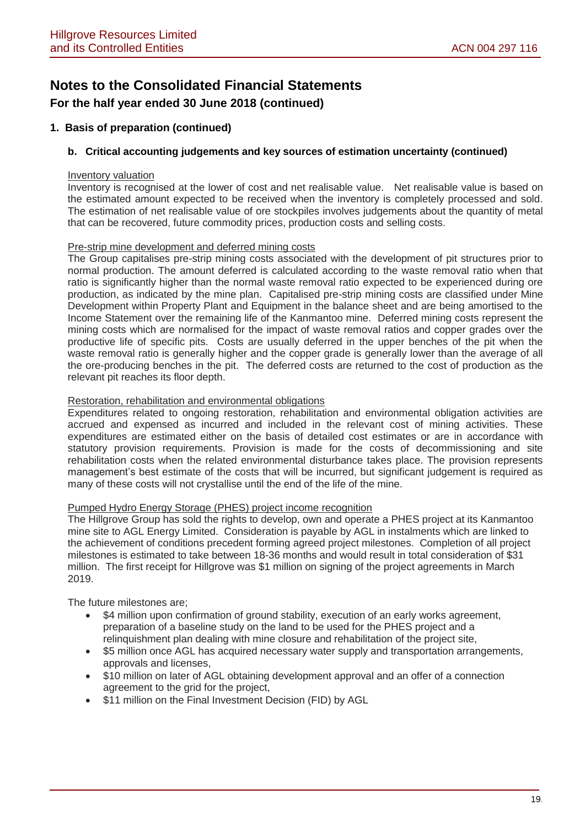## **Notes to the Consolidated Financial Statements For the half year ended 30 June 2018 (continued)**

### **1. Basis of preparation (continued)**

### **b. Critical accounting judgements and key sources of estimation uncertainty (continued)**

#### Inventory valuation

Inventory is recognised at the lower of cost and net realisable value. Net realisable value is based on the estimated amount expected to be received when the inventory is completely processed and sold. The estimation of net realisable value of ore stockpiles involves judgements about the quantity of metal that can be recovered, future commodity prices, production costs and selling costs.

#### Pre-strip mine development and deferred mining costs

The Group capitalises pre-strip mining costs associated with the development of pit structures prior to normal production. The amount deferred is calculated according to the waste removal ratio when that ratio is significantly higher than the normal waste removal ratio expected to be experienced during ore production, as indicated by the mine plan. Capitalised pre-strip mining costs are classified under Mine Development within Property Plant and Equipment in the balance sheet and are being amortised to the Income Statement over the remaining life of the Kanmantoo mine. Deferred mining costs represent the mining costs which are normalised for the impact of waste removal ratios and copper grades over the productive life of specific pits. Costs are usually deferred in the upper benches of the pit when the waste removal ratio is generally higher and the copper grade is generally lower than the average of all the ore-producing benches in the pit. The deferred costs are returned to the cost of production as the relevant pit reaches its floor depth.

### Restoration, rehabilitation and environmental obligations

Expenditures related to ongoing restoration, rehabilitation and environmental obligation activities are accrued and expensed as incurred and included in the relevant cost of mining activities. These expenditures are estimated either on the basis of detailed cost estimates or are in accordance with statutory provision requirements. Provision is made for the costs of decommissioning and site rehabilitation costs when the related environmental disturbance takes place. The provision represents management's best estimate of the costs that will be incurred, but significant judgement is required as many of these costs will not crystallise until the end of the life of the mine.

### Pumped Hydro Energy Storage (PHES) project income recognition

The Hillgrove Group has sold the rights to develop, own and operate a PHES project at its Kanmantoo mine site to AGL Energy Limited. Consideration is payable by AGL in instalments which are linked to the achievement of conditions precedent forming agreed project milestones. Completion of all project milestones is estimated to take between 18-36 months and would result in total consideration of \$31 million. The first receipt for Hillgrove was \$1 million on signing of the project agreements in March 2019.

The future milestones are;

- \$4 million upon confirmation of ground stability, execution of an early works agreement, preparation of a baseline study on the land to be used for the PHES project and a relinquishment plan dealing with mine closure and rehabilitation of the project site,
- \$5 million once AGL has acquired necessary water supply and transportation arrangements, approvals and licenses,
- \$10 million on later of AGL obtaining development approval and an offer of a connection agreement to the grid for the project,
- \$11 million on the Final Investment Decision (FID) by AGL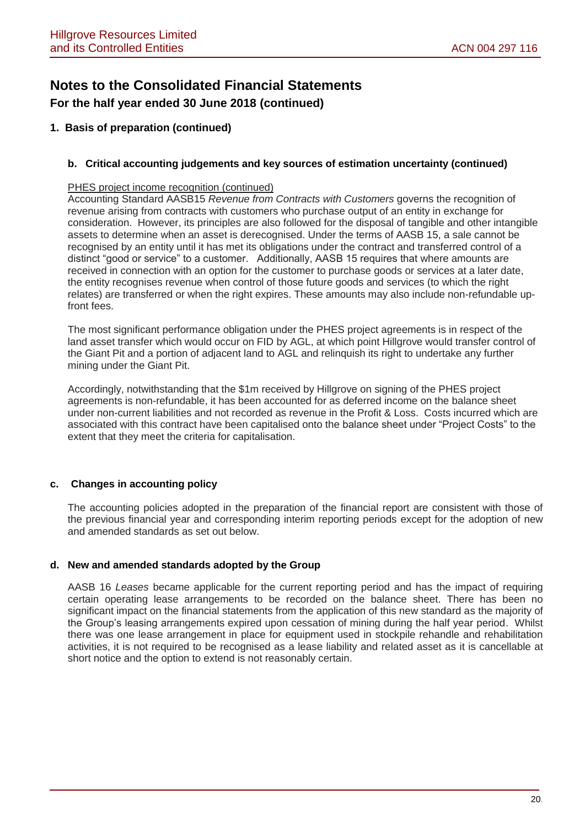## **Notes to the Consolidated Financial Statements For the half year ended 30 June 2018 (continued)**

### **1. Basis of preparation (continued)**

### **b. Critical accounting judgements and key sources of estimation uncertainty (continued)**

### PHES project income recognition (continued)

Accounting Standard AASB15 *Revenue from Contracts with Customers* governs the recognition of revenue arising from contracts with customers who purchase output of an entity in exchange for consideration. However, its principles are also followed for the disposal of tangible and other intangible assets to determine when an asset is derecognised. Under the terms of AASB 15, a sale cannot be recognised by an entity until it has met its obligations under the contract and transferred control of a distinct "good or service" to a customer. Additionally, AASB 15 requires that where amounts are received in connection with an option for the customer to purchase goods or services at a later date, the entity recognises revenue when control of those future goods and services (to which the right relates) are transferred or when the right expires. These amounts may also include non-refundable upfront fees.

The most significant performance obligation under the PHES project agreements is in respect of the land asset transfer which would occur on FID by AGL, at which point Hillgrove would transfer control of the Giant Pit and a portion of adjacent land to AGL and relinquish its right to undertake any further mining under the Giant Pit.

Accordingly, notwithstanding that the \$1m received by Hillgrove on signing of the PHES project agreements is non-refundable, it has been accounted for as deferred income on the balance sheet under non-current liabilities and not recorded as revenue in the Profit & Loss. Costs incurred which are associated with this contract have been capitalised onto the balance sheet under "Project Costs" to the extent that they meet the criteria for capitalisation.

### **c. Changes in accounting policy**

The accounting policies adopted in the preparation of the financial report are consistent with those of the previous financial year and corresponding interim reporting periods except for the adoption of new and amended standards as set out below.

### **d. New and amended standards adopted by the Group**

AASB 16 *Leases* became applicable for the current reporting period and has the impact of requiring certain operating lease arrangements to be recorded on the balance sheet. There has been no significant impact on the financial statements from the application of this new standard as the majority of the Group's leasing arrangements expired upon cessation of mining during the half year period. Whilst there was one lease arrangement in place for equipment used in stockpile rehandle and rehabilitation activities, it is not required to be recognised as a lease liability and related asset as it is cancellable at short notice and the option to extend is not reasonably certain.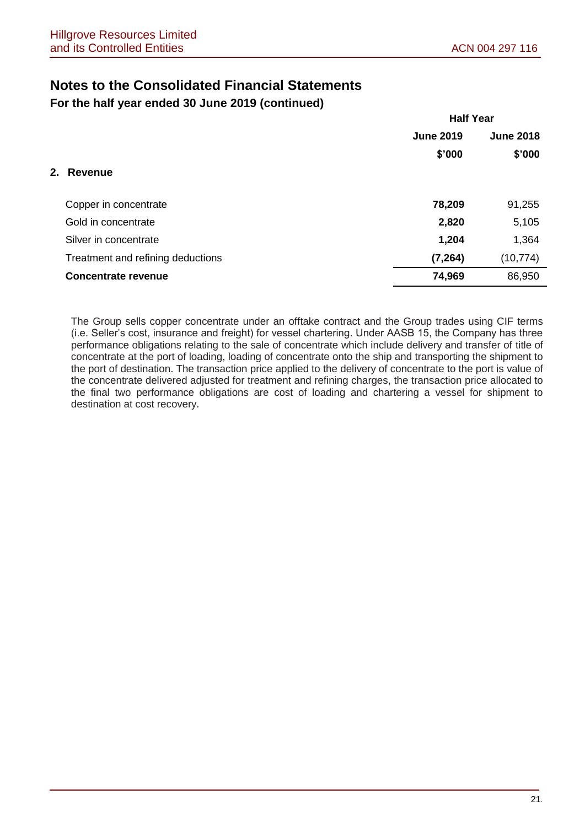**For the half year ended 30 June 2019 (continued)**

|                                   | <b>Half Year</b> |                  |
|-----------------------------------|------------------|------------------|
|                                   | <b>June 2019</b> | <b>June 2018</b> |
|                                   | \$'000           | \$'000           |
| 2. Revenue                        |                  |                  |
| Copper in concentrate             | 78,209           | 91,255           |
| Gold in concentrate               | 2,820            | 5,105            |
| Silver in concentrate             | 1,204            | 1,364            |
| Treatment and refining deductions | (7, 264)         | (10, 774)        |
| <b>Concentrate revenue</b>        | 74,969           | 86,950           |

The Group sells copper concentrate under an offtake contract and the Group trades using CIF terms (i.e. Seller's cost, insurance and freight) for vessel chartering. Under AASB 15, the Company has three performance obligations relating to the sale of concentrate which include delivery and transfer of title of concentrate at the port of loading, loading of concentrate onto the ship and transporting the shipment to the port of destination. The transaction price applied to the delivery of concentrate to the port is value of the concentrate delivered adjusted for treatment and refining charges, the transaction price allocated to the final two performance obligations are cost of loading and chartering a vessel for shipment to destination at cost recovery.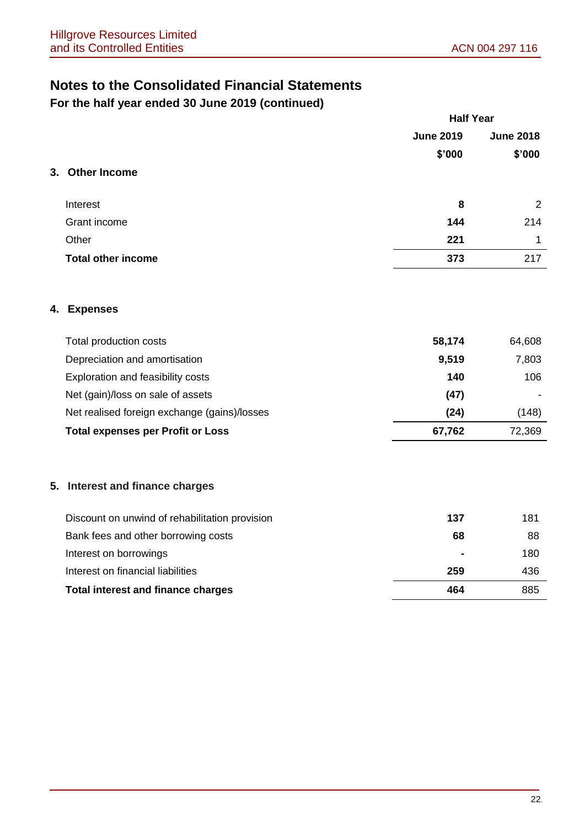**For the half year ended 30 June 2019 (continued)**

| <b>June 2019</b><br>\$'000<br><b>Other Income</b><br>Interest<br>8<br>Grant income<br>144<br>Other<br>221<br><b>Total other income</b><br>373<br><b>Expenses</b><br>Total production costs<br>58,174<br>Depreciation and amortisation<br>9,519<br>Exploration and feasibility costs<br>140<br>Net (gain)/loss on sale of assets<br>(47)<br>Net realised foreign exchange (gains)/losses<br>(24)<br>67,762<br><b>Total expenses per Profit or Loss</b><br>137<br>Discount on unwind of rehabilitation provision<br>Bank fees and other borrowing costs<br>68<br>Interest on borrowings<br>Interest on financial liabilities<br>259<br>464<br><b>Total interest and finance charges</b> |  | <b>Half Year</b> |                  |  |
|---------------------------------------------------------------------------------------------------------------------------------------------------------------------------------------------------------------------------------------------------------------------------------------------------------------------------------------------------------------------------------------------------------------------------------------------------------------------------------------------------------------------------------------------------------------------------------------------------------------------------------------------------------------------------------------|--|------------------|------------------|--|
| 3.<br>4.<br>5. Interest and finance charges                                                                                                                                                                                                                                                                                                                                                                                                                                                                                                                                                                                                                                           |  |                  | <b>June 2018</b> |  |
|                                                                                                                                                                                                                                                                                                                                                                                                                                                                                                                                                                                                                                                                                       |  |                  | \$'000           |  |
|                                                                                                                                                                                                                                                                                                                                                                                                                                                                                                                                                                                                                                                                                       |  |                  |                  |  |
|                                                                                                                                                                                                                                                                                                                                                                                                                                                                                                                                                                                                                                                                                       |  |                  | 2                |  |
|                                                                                                                                                                                                                                                                                                                                                                                                                                                                                                                                                                                                                                                                                       |  |                  | 214              |  |
|                                                                                                                                                                                                                                                                                                                                                                                                                                                                                                                                                                                                                                                                                       |  |                  | 1                |  |
|                                                                                                                                                                                                                                                                                                                                                                                                                                                                                                                                                                                                                                                                                       |  |                  | 217              |  |
|                                                                                                                                                                                                                                                                                                                                                                                                                                                                                                                                                                                                                                                                                       |  |                  |                  |  |
|                                                                                                                                                                                                                                                                                                                                                                                                                                                                                                                                                                                                                                                                                       |  |                  | 64,608           |  |
|                                                                                                                                                                                                                                                                                                                                                                                                                                                                                                                                                                                                                                                                                       |  |                  | 7,803            |  |
|                                                                                                                                                                                                                                                                                                                                                                                                                                                                                                                                                                                                                                                                                       |  |                  | 106              |  |
|                                                                                                                                                                                                                                                                                                                                                                                                                                                                                                                                                                                                                                                                                       |  |                  |                  |  |
|                                                                                                                                                                                                                                                                                                                                                                                                                                                                                                                                                                                                                                                                                       |  |                  | (148)            |  |
|                                                                                                                                                                                                                                                                                                                                                                                                                                                                                                                                                                                                                                                                                       |  |                  | 72,369           |  |
|                                                                                                                                                                                                                                                                                                                                                                                                                                                                                                                                                                                                                                                                                       |  |                  |                  |  |
|                                                                                                                                                                                                                                                                                                                                                                                                                                                                                                                                                                                                                                                                                       |  |                  | 181              |  |
|                                                                                                                                                                                                                                                                                                                                                                                                                                                                                                                                                                                                                                                                                       |  |                  | 88               |  |
|                                                                                                                                                                                                                                                                                                                                                                                                                                                                                                                                                                                                                                                                                       |  |                  | 180              |  |
|                                                                                                                                                                                                                                                                                                                                                                                                                                                                                                                                                                                                                                                                                       |  |                  | 436              |  |
|                                                                                                                                                                                                                                                                                                                                                                                                                                                                                                                                                                                                                                                                                       |  |                  | 885              |  |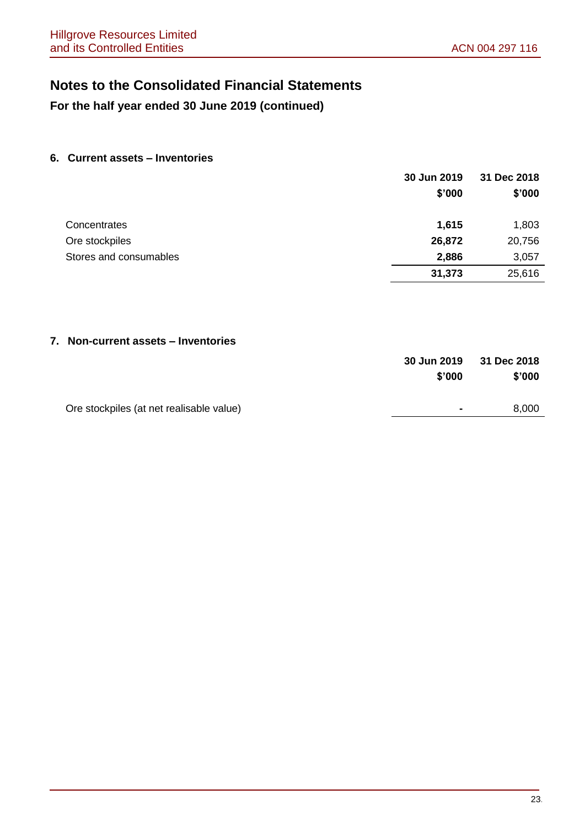**For the half year ended 30 June 2019 (continued)**

### **6. Current assets – Inventories**

|                        | 30 Jun 2019 | 31 Dec 2018 |
|------------------------|-------------|-------------|
|                        | \$'000      | \$'000      |
| Concentrates           | 1,615       | 1,803       |
| Ore stockpiles         | 26,872      | 20,756      |
| Stores and consumables | 2,886       | 3,057       |
|                        | 31,373      | 25,616      |

### **7. Non-current assets – Inventories**

|                                          | <b>30 Jun 2019</b> | 31 Dec 2018 |
|------------------------------------------|--------------------|-------------|
|                                          | \$'000             | \$'000      |
|                                          |                    |             |
| Ore stockpiles (at net realisable value) | $\sim$             | 8,000       |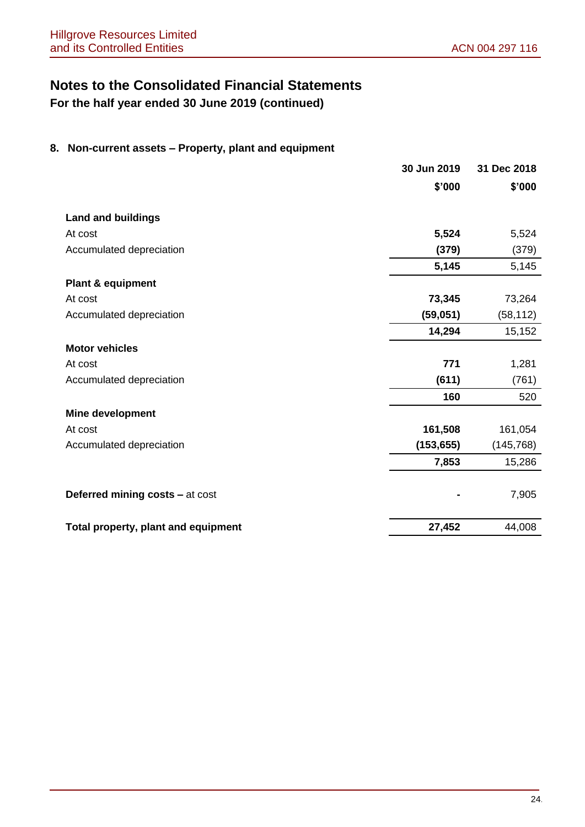**For the half year ended 30 June 2019 (continued)**

### **8. Non-current assets – Property, plant and equipment**

|                                     | 30 Jun 2019 | 31 Dec 2018 |
|-------------------------------------|-------------|-------------|
|                                     | \$'000      | \$'000      |
| <b>Land and buildings</b>           |             |             |
| At cost                             | 5,524       | 5,524       |
| Accumulated depreciation            | (379)       | (379)       |
|                                     | 5,145       | 5,145       |
| <b>Plant &amp; equipment</b>        |             |             |
| At cost                             | 73,345      | 73,264      |
| Accumulated depreciation            | (59,051)    | (58, 112)   |
|                                     | 14,294      | 15,152      |
| <b>Motor vehicles</b>               |             |             |
| At cost                             | 771         | 1,281       |
| Accumulated depreciation            | (611)       | (761)       |
|                                     | 160         | 520         |
| <b>Mine development</b>             |             |             |
| At cost                             | 161,508     | 161,054     |
| Accumulated depreciation            | (153, 655)  | (145, 768)  |
|                                     | 7,853       | 15,286      |
| Deferred mining costs - at cost     |             | 7,905       |
| Total property, plant and equipment | 27,452      | 44,008      |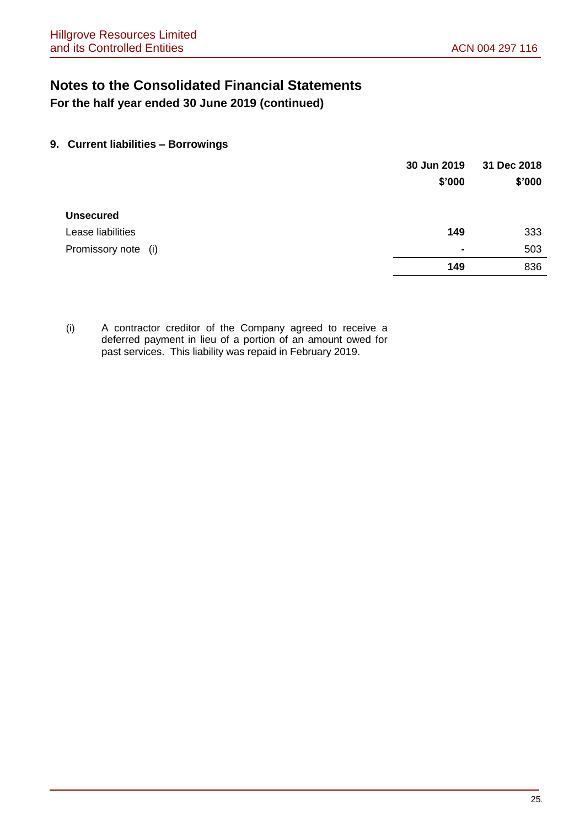**For the half year ended 30 June 2019 (continued)**

### **9. Current liabilities – Borrowings**

|                     | 30 Jun 2019    | 31 Dec 2018 |
|---------------------|----------------|-------------|
|                     | \$'000         | \$'000      |
| <b>Unsecured</b>    |                |             |
| Lease liabilities   | 149            | 333         |
| Promissory note (i) | $\blacksquare$ | 503         |
|                     | 149            | 836         |

(i) A contractor creditor of the Company agreed to receive a deferred payment in lieu of a portion of an amount owed for past services. This liability was repaid in February 2019.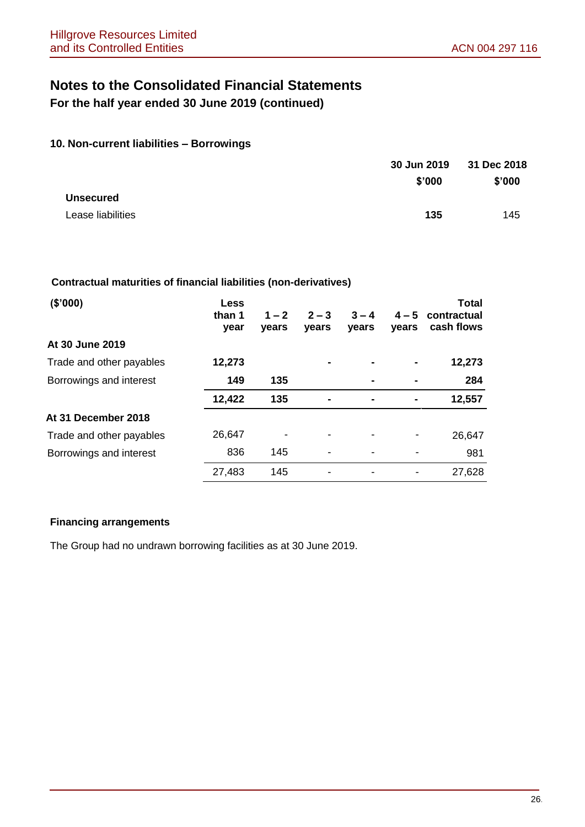**For the half year ended 30 June 2019 (continued)**

### **10. Non-current liabilities – Borrowings**

|                   | 30 Jun 2019 | 31 Dec 2018 |  |
|-------------------|-------------|-------------|--|
|                   | \$'000      | \$'000      |  |
| <b>Unsecured</b>  |             |             |  |
| Lease liabilities | 135         | 145         |  |

### **Contractual maturities of financial liabilities (non-derivatives)**

| (\$'000)                 | <b>Less</b><br>than 1<br>year | $1 - 2$<br>vears | $2 - 3$<br>years | $3 - 4$<br><b>vears</b> | $4 - 5$<br>vears | <b>Total</b><br>contractual<br>cash flows |
|--------------------------|-------------------------------|------------------|------------------|-------------------------|------------------|-------------------------------------------|
| At 30 June 2019          |                               |                  |                  |                         |                  |                                           |
| Trade and other payables | 12,273                        |                  |                  | ۰                       |                  | 12,273                                    |
| Borrowings and interest  | 149                           | 135              |                  |                         |                  | 284                                       |
|                          | 12,422                        | 135              | ۰                | ۰                       |                  | 12,557                                    |
| At 31 December 2018      |                               |                  |                  |                         |                  |                                           |
| Trade and other payables | 26,647                        |                  |                  |                         |                  | 26,647                                    |
| Borrowings and interest  | 836                           | 145              |                  |                         |                  | 981                                       |
|                          | 27,483                        | 145              |                  |                         |                  | 27,628                                    |

### **Financing arrangements**

The Group had no undrawn borrowing facilities as at 30 June 2019.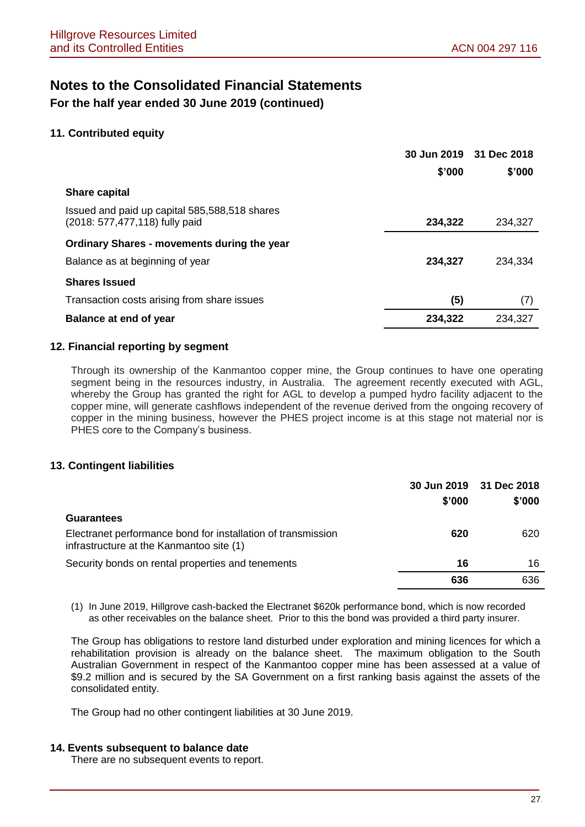**For the half year ended 30 June 2019 (continued)**

### **11. Contributed equity**

|                                                                                 |         | 30 Jun 2019 31 Dec 2018 |
|---------------------------------------------------------------------------------|---------|-------------------------|
|                                                                                 | \$'000  | \$'000                  |
| <b>Share capital</b>                                                            |         |                         |
| Issued and paid up capital 585,588,518 shares<br>(2018: 577,477,118) fully paid | 234,322 | 234.327                 |
| <b>Ordinary Shares - movements during the year</b>                              |         |                         |
| Balance as at beginning of year                                                 | 234,327 | 234,334                 |
| <b>Shares Issued</b>                                                            |         |                         |
| Transaction costs arising from share issues                                     | (5)     | (7)                     |
| Balance at end of year                                                          | 234,322 | 234,327                 |

### **12. Financial reporting by segment**

Through its ownership of the Kanmantoo copper mine, the Group continues to have one operating segment being in the resources industry, in Australia. The agreement recently executed with AGL, whereby the Group has granted the right for AGL to develop a pumped hydro facility adjacent to the copper mine, will generate cashflows independent of the revenue derived from the ongoing recovery of copper in the mining business, however the PHES project income is at this stage not material nor is PHES core to the Company's business.

### **13. Contingent liabilities**

|                                                                                                          | \$'000 | 30 Jun 2019 31 Dec 2018<br>\$'000 |
|----------------------------------------------------------------------------------------------------------|--------|-----------------------------------|
| <b>Guarantees</b>                                                                                        |        |                                   |
| Electranet performance bond for installation of transmission<br>infrastructure at the Kanmantoo site (1) | 620    | 620                               |
| Security bonds on rental properties and tenements                                                        | 16     | 16                                |
|                                                                                                          | 636    | 636                               |

(1) In June 2019, Hillgrove cash-backed the Electranet \$620k performance bond, which is now recorded as other receivables on the balance sheet. Prior to this the bond was provided a third party insurer.

The Group has obligations to restore land disturbed under exploration and mining licences for which a rehabilitation provision is already on the balance sheet. The maximum obligation to the South Australian Government in respect of the Kanmantoo copper mine has been assessed at a value of \$9.2 million and is secured by the SA Government on a first ranking basis against the assets of the consolidated entity.

The Group had no other contingent liabilities at 30 June 2019.

### **14. Events subsequent to balance date**

There are no subsequent events to report.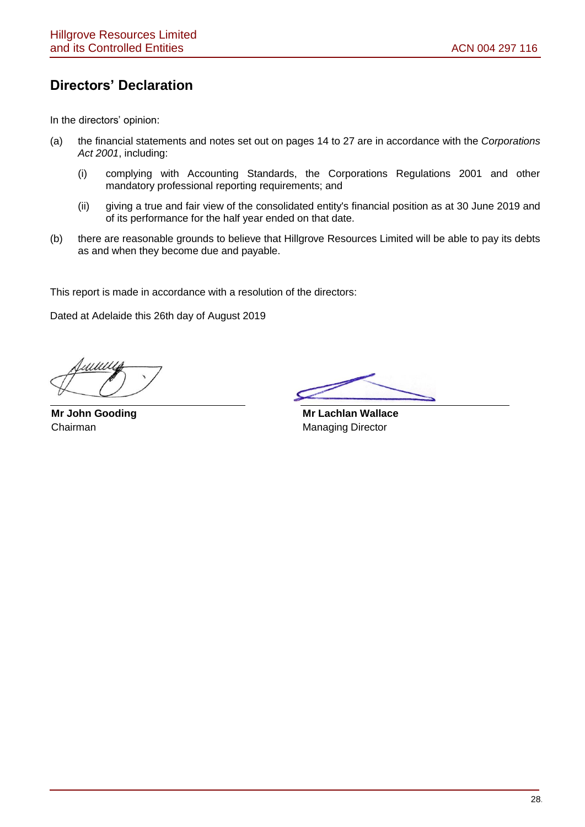## **Directors' Declaration**

In the directors' opinion:

- (a) the financial statements and notes set out on pages 14 to 27 are in accordance with the *Corporations Act 2001*, including:
	- (i) complying with Accounting Standards, the Corporations Regulations 2001 and other mandatory professional reporting requirements; and
	- (ii) giving a true and fair view of the consolidated entity's financial position as at 30 June 2019 and of its performance for the half year ended on that date.
- (b) there are reasonable grounds to believe that Hillgrove Resources Limited will be able to pay its debts as and when they become due and payable.

This report is made in accordance with a resolution of the directors:

Dated at Adelaide this 26th day of August 2019

**Mr John Gooding** Chairman

 **Mr Lachlan Wallace** Managing Director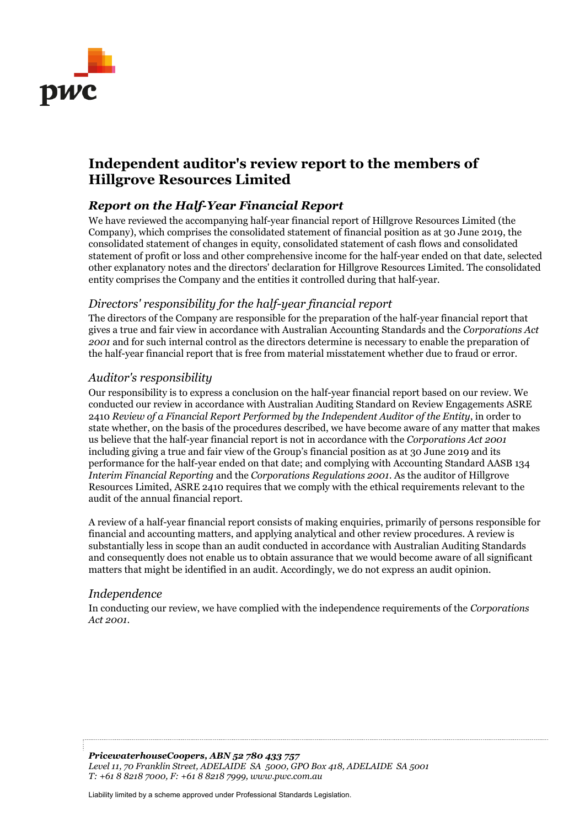

## **Independent auditor's review report to the members of Hillgrove Resources Limited**

### *Report on the Half-Year Financial Report*

We have reviewed the accompanying half-year financial report of Hillgrove Resources Limited (the Company), which comprises the consolidated statement of financial position as at 30 June 2019, the consolidated statement of changes in equity, consolidated statement of cash flows and consolidated statement of profit or loss and other comprehensive income for the half-year ended on that date, selected other explanatory notes and the directors' declaration for Hillgrove Resources Limited. The consolidated entity comprises the Company and the entities it controlled during that half-year.

### *Directors' responsibility for the half-year financial report*

The directors of the Company are responsible for the preparation of the half-year financial report that gives a true and fair view in accordance with Australian Accounting Standards and the *Corporations Act 2001* and for such internal control as the directors determine is necessary to enable the preparation of the half-year financial report that is free from material misstatement whether due to fraud or error.

### *Auditor's responsibility*

Our responsibility is to express a conclusion on the half-year financial report based on our review. We conducted our review in accordance with Australian Auditing Standard on Review Engagements ASRE 2410 *Review of a Financial Report Performed by the Independent Auditor of the Entity*, in order to state whether, on the basis of the procedures described, we have become aware of any matter that makes us believe that the half-year financial report is not in accordance with the *Corporations Act 2001* including giving a true and fair view of the Group's financial position as at 30 June 2019 and its performance for the half-year ended on that date; and complying with Accounting Standard AASB 134 *Interim Financial Reporting* and the *Corporations Regulations 2001*. As the auditor of Hillgrove Resources Limited, ASRE 2410 requires that we comply with the ethical requirements relevant to the audit of the annual financial report.

A review of a half-year financial report consists of making enquiries, primarily of persons responsible for financial and accounting matters, and applying analytical and other review procedures. A review is substantially less in scope than an audit conducted in accordance with Australian Auditing Standards and consequently does not enable us to obtain assurance that we would become aware of all significant matters that might be identified in an audit. Accordingly, we do not express an audit opinion.

### *Independence*

In conducting our review, we have complied with the independence requirements of the *Corporations Act 2001*.

*PricewaterhouseCoopers, ABN 52 780 433 757 Level 11, 70 Franklin Street, ADELAIDE SA 5000, GPO Box 418, ADELAIDE SA 5001 T: +61 8 8218 7000, F: +61 8 8218 7999, www.pwc.com.au* 

Liability limited by a scheme approved under Professional Standards Legislation.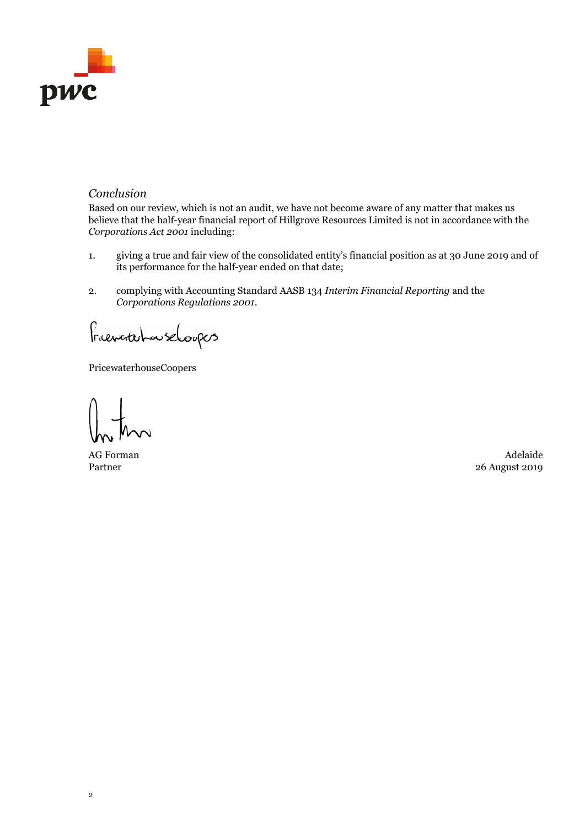

### *Conclusion*

Based on our review, which is not an audit, we have not become aware of any matter that makes us believe that the half-year financial report of Hillgrove Resources Limited is not in accordance with the *Corporations Act 2001* including:

- 1. giving a true and fair view of the consolidated entity's financial position as at 30 June 2019 and of its performance for the half-year ended on that date;
- 2. complying with Accounting Standard AASB 134 *Interim Financial Reporting* and the *Corporations Regulations 2001*.

FriencritchouseLoopers

PricewaterhouseCoopers

Partner

AG Forman Adelaide 26 August 2019